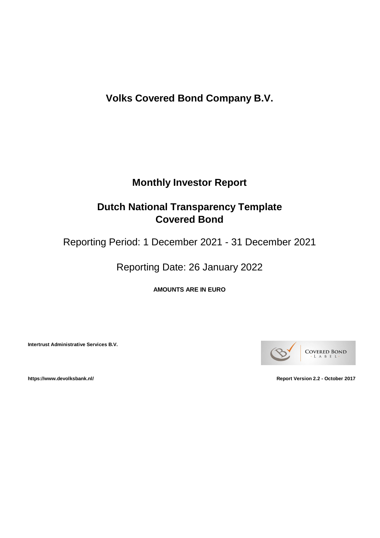**Volks Covered Bond Company B.V.**

# **Monthly Investor Report**

# **Dutch National Transparency Template Covered Bond**

Reporting Period: 1 December 2021 - 31 December 2021

Reporting Date: 26 January 2022

**AMOUNTS ARE IN EURO**

**Intertrust Administrative Services B.V.**



**https://www.devolksbank.nl/ Report Version 2.2 - October 2017**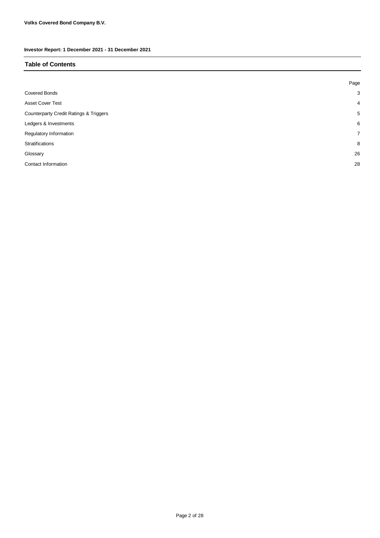#### **Table of Contents**

|                                                   | Page           |
|---------------------------------------------------|----------------|
| <b>Covered Bonds</b>                              | 3              |
| <b>Asset Cover Test</b>                           | $\overline{4}$ |
| <b>Counterparty Credit Ratings &amp; Triggers</b> | 5              |
| Ledgers & Investments                             | 6              |
| Regulatory Information                            | $\overline{7}$ |
| Stratifications                                   | 8              |
| Glossary                                          | 26             |
| Contact Information                               | 28             |
|                                                   |                |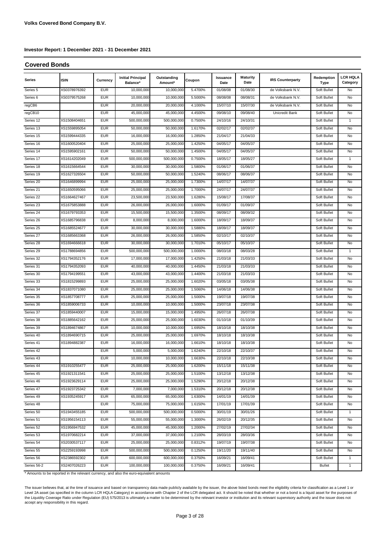#### **Covered Bonds**

| <b>Series</b>       | <b>ISIN</b>  | Currency   | <b>Initial Principal</b><br>Balance* | Outstanding<br>Amount* | Coupon  | Issuance<br>Date | <b>Maturity</b><br>Date | <b>IRS Counterparty</b> | Redemption<br>Type | <b>LCR HQLA</b><br>Category |
|---------------------|--------------|------------|--------------------------------------|------------------------|---------|------------------|-------------------------|-------------------------|--------------------|-----------------------------|
| Series <sub>5</sub> | XS0378976392 | <b>EUR</b> | 10,000,000                           | 10,000,000             | 5.4700% | 01/08/08         | 01/08/30                | de Volksbank N.V.       | Soft Bullet        | No                          |
| Series <sub>6</sub> | XS0379575268 | <b>EUR</b> | 10,000,000                           | 10,000,000             | 5.5000% | 08/08/08         | 08/08/31                | de Volksbank N.V.       | Soft Bullet        | No                          |
| regCB6              |              | <b>EUR</b> | 20,000,000                           | 20,000,000             | 4.1000% | 15/07/10         | 15/07/30                | de Volksbank N.V.       | Soft Bullet        | No                          |
| regCB10             |              | <b>EUR</b> | 45,000,000                           | 45,000,000             | 4.4500% | 09/08/10         | 09/08/40                | Unicredit Bank          | Soft Bullet        | No                          |
| Series 12           | XS1508404651 | <b>EUR</b> | 500,000,000                          | 500,000,000            | 0.7500% | 24/10/16         | 24/10/31                |                         | Soft Bullet        | 1                           |
| Series 13           | XS1559895054 | <b>EUR</b> | 50,000,000                           | 50,000,000             | 1.6170% | 02/02/17         | 02/02/37                |                         | Soft Bullet        | No                          |
| Series 15           | XS1599444335 | <b>EUR</b> | 16,000,000                           | 16,000,000             | 1.2850% | 21/04/17         | 21/04/33                |                         | Soft Bullet        | No                          |
| Series 16           | XS1600520404 | <b>EUR</b> | 25,000,000                           | 25,000,000             | 1.4250% | 04/05/17         | 04/05/37                |                         | Soft Bullet        | No                          |
| Series 14           | XS1595902161 | <b>EUR</b> | 50,000,000                           | 50,000,000             | 1.4500% | 04/05/17         | 04/05/37                |                         | Soft Bullet        | No                          |
| Series 17           | XS1614202049 | <b>EUR</b> | 500,000,000                          | 500,000,000            | 0.7500% | 18/05/17         | 18/05/27                |                         | Soft Bullet        | 1                           |
| Series 18           | XS1615664544 | <b>EUR</b> | 30,000,000                           | 30,000,000             | 1.5800% | 01/06/17         | 01/06/37                |                         | Soft Bullet        | No                          |
| Series 19           | XS1627326504 | <b>EUR</b> | 50,000,000                           | 50,000,000             | 1.5240% | 08/06/17         | 08/06/37                |                         | Soft Bullet        | No                          |
| Series 20           | XS1646899994 | <b>EUR</b> | 25,000,000                           | 25,000,000             | 1.7300% | 14/07/17         | 14/07/37                |                         | Soft Bullet        | No                          |
| Series 21           | XS1650595066 | <b>EUR</b> | 25,000,000                           | 25,000,000             | 1.7000% | 24/07/17         | 24/07/37                |                         | Soft Bullet        | No                          |
| Series 22           | XS1664627467 | <b>EUR</b> | 23,500,000                           | 23,500,000             | 1.6280% | 15/08/17         | 17/08/37                |                         | Soft Bullet        | No                          |
| Series 23           | XS1675853888 | <b>EUR</b> | 26,000,000                           | 26,000,000             | 1.6000% | 01/09/17         | 01/09/37                |                         | Soft Bullet        | No                          |
| Series 24           | XS1679793353 | <b>EUR</b> | 15,500,000                           | 15,500,000             | 1.3500% | 08/09/17         | 08/09/32                |                         | Soft Bullet        | No                          |
| Series 26           | XS1685796838 | <b>EUR</b> | 8,000,000                            | 8,000,000              | 1.6000% | 18/09/17         | 18/09/37                |                         | Soft Bullet        | No                          |
| Series 25           | XS1685524677 | <b>EUR</b> | 30,000,000                           | 30,000,000             | 1.5880% | 18/09/17         | 18/09/37                |                         | Soft Bullet        | No                          |
| Series 27           | XS1685663368 | <b>EUR</b> | 26,000,000                           | 26,000,000             | 1.5850% | 02/10/17         | 02/10/37                |                         | Soft Bullet        | No                          |
| Series 28           | XS1694666618 | <b>EUR</b> | 30,000,000                           | 30,000,000             | 1.7010% | 05/10/17         | 05/10/37                |                         | Soft Bullet        | No                          |
| Series 29           | XS1788694856 | <b>EUR</b> | 500,000,000                          | 500,000,000            | 1.0000% | 08/03/18         | 08/03/28                |                         | Soft Bullet        | 1                           |
| Series 32           | XS1794352176 | <b>EUR</b> | 17,000,000                           | 17,000,000             | 1.4250% | 21/03/18         | 21/03/33                |                         | Soft Bullet        | No                          |
| Series 31           | XS1794352093 | <b>EUR</b> | 40,000,000                           | 40,000,000             | 1.4450% | 21/03/18         | 21/03/33                |                         | Soft Bullet        | No                          |
| Series 30           | XS1794199551 | <b>EUR</b> | 43,000,000                           | 43,000,000             | 1.4400% | 21/03/18         | 21/03/33                |                         | Soft Bullet        | No                          |
| Series 33           | XS1815299893 | <b>EUR</b> | 25,000,000                           | 25,000,000             | 1.6020% | 03/05/18         | 03/05/38                |                         | Soft Bullet        | No                          |
| Series 34           | XS1837071080 | <b>EUR</b> | 25,000,000                           | 25,000,000             | 1.5060% | 14/06/18         | 14/06/38                |                         | Soft Bullet        | No                          |
| Series 35           | XS1857708777 | <b>EUR</b> | 25,000,000                           | 25,000,000             | 1.5000% | 19/07/18         | 19/07/38                |                         | Soft Bullet        | No                          |
| Series 36           | XS1859006733 | <b>EUR</b> | 10,000,000                           | 10,000,000             | 1.5000% | 23/07/18         | 23/07/38                |                         | Soft Bullet        | No                          |
| Series 37           | XS1859440007 | <b>EUR</b> | 15,000,000                           | 15,000,000             | 1.4950% | 26/07/18         | 26/07/38                |                         | Soft Bullet        | No                          |
| Series 38           | XS1885642162 | <b>EUR</b> | 25,000,000                           | 25,000,000             | 1.6030% | 01/10/18         | 01/10/39                |                         | Soft Bullet        | No                          |
| Series 39           | XS1894674867 | <b>EUR</b> | 10,000,000                           | 10,000,000             | 1.6950% | 18/10/18         | 18/10/38                |                         | Soft Bullet        | No                          |
| Series 40           | XS1894690715 | <b>EUR</b> | 25,000,000                           | 25,000,000             | 1.6970% | 18/10/18         | 18/10/38                |                         | Soft Bullet        | No                          |
| Series 41           | XS1894882387 | <b>EUR</b> | 16,000,000                           | 16,000,000             | 1.6610% | 18/10/18         | 18/10/38                |                         | Soft Bullet        | No                          |
| Series 42           |              | <b>EUR</b> | 5,000,000                            | 5,000,000              | 1.6240% | 22/10/18         | 22/10/37                |                         | Soft Bullet        | No                          |
| Series 43           |              | EUR        | 10,000,000                           | 10,000,000             | 1.6630% | 22/10/18         | 22/10/38                |                         | Soft Bullet        | No                          |
| Series 44           | XS1910255477 | <b>EUR</b> | 25,000,000                           | 25,000,000             | 1.6200% | 15/11/18         | 15/11/38                |                         | Soft Bullet        | No                          |
| Series 45           | XS1921311541 | EUR        | 25,000,000                           | 25,000,000             | 1.5100% | 13/12/18         | 13/12/38                |                         | Soft Bullet        | No                          |
| Series 46           | XS1923629114 | EUR        | 25,000,000                           | 25,000,000             | 1.5290% | 20/12/18         | 20/12/38                |                         | Soft Bullet        | No                          |
| Series 47           | XS1923725342 | EUR        | 7,000,000                            | 7,000,000              | 1.5310% | 20/12/18         | 20/12/38                |                         | Soft Bullet        | No                          |
| Series 49           | XS1935245917 | EUR        | 65,000,000                           | 65,000,000             | 1.6300% | 14/01/19         | 14/01/39                |                         | Soft Bullet        | No                          |
| Series 48           |              | EUR        | 75,000,000                           | 75,000,000             | 1.6150% | 17/01/19         | 17/01/39                |                         | Soft Bullet        | No                          |
| Series 50           | XS1943455185 | EUR        | 500,000,000                          | 500,000,000            | 0.5000% | 30/01/19         | 30/01/26                |                         | Soft Bullet        | $\mathbf{1}$                |
| Series 51           | XS1956154113 | EUR        | 55,000,000                           | 55,000,000             | 1.3000% | 26/02/19         | 20/12/35                |                         | Soft Bullet        | No                          |
| Series 52           | XS1956947532 | EUR        | 45,000,000                           | 45,000,000             | 1.2000% | 27/02/19         | 27/02/34                |                         | Soft Bullet        | No                          |
| Series 53           | XS1970682214 | EUR        | 37,000,000                           | 37,000,000             | 1.2100% | 28/03/19         | 28/03/36                |                         | Soft Bullet        | No                          |
| Series 54           | XS2030537117 | EUR        | 25,000,000                           | 25,000,000             | 0.8312% | 19/07/19         | 19/07/38                |                         | Soft Bullet        | No                          |
| Series 55           | XS2259193998 | EUR        | 500,000,000                          | 500,000,000            | 0.1250% | 19/11/20         | 19/11/40                |                         | Soft Bullet        | No                          |
| Series 56           | XS2386592302 | EUR        | 600,000,000                          | 600,000,000            | 0.3750% | 16/09/21         | 16/09/41                |                         | Soft Bullet        | $\mathbf{1}$                |
| Series 56-2         | XS2407026223 | EUR        | 100,000,000                          | 100,000,000            | 0.3750% | 16/09/21         | 16/09/41                |                         | <b>Bullet</b>      | $\mathbf{1}$                |

\* Amounts to be reported in the relevant currency, and also the euro-equivalent amounts

The issuer believes that, at the time of issuance and based on transparency data made publicly available by the issuer, the above listed bonds meet the eligibility criteria for classification as a Level 1 or Level 2A asset (as specified in the column LCR HQLA Category) in accordance with Chapter 2 of the LCR delegated act. It should be noted that whether or not a bond is a liquid asset for the purposes of the Liquidity Coverage Ratio under Regulation (EU) 575/2013 is ultimately a matter to be determined by the relevant investor or institution and its relevant supervisory authority and the issuer does not<br>accept any responsi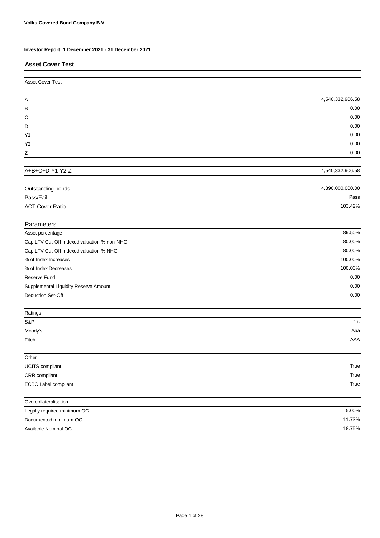| Investor Report: 1 December 2021 - 31 December 2021 |                  |
|-----------------------------------------------------|------------------|
| <b>Asset Cover Test</b>                             |                  |
| <b>Asset Cover Test</b>                             |                  |
| A                                                   | 4,540,332,906.58 |
| В                                                   | 0.00             |
| С                                                   | 0.00             |
| D                                                   | 0.00             |
| Y1                                                  | 0.00             |
| Y <sub>2</sub>                                      | 0.00             |
| Ζ                                                   | 0.00             |
| A+B+C+D-Y1-Y2-Z                                     | 4,540,332,906.58 |
|                                                     |                  |
| Outstanding bonds                                   | 4,390,000,000.00 |
| Pass/Fail                                           | Pass             |
| <b>ACT Cover Ratio</b>                              | 103.42%          |
| Parameters                                          |                  |
| Asset percentage                                    | 89.50%           |
| Cap LTV Cut-Off indexed valuation % non-NHG         | 80.00%           |
| Cap LTV Cut-Off indexed valuation % NHG             | 80.00%           |
| % of Index Increases                                | 100.00%          |
| % of Index Decreases                                | 100.00%          |
| Reserve Fund                                        | 0.00             |
| Supplemental Liquidity Reserve Amount               | 0.00             |
| Deduction Set-Off                                   | 0.00             |
| Ratings                                             |                  |
| S&P                                                 | n.r.             |
| Moody's                                             | Aaa              |
| Fitch                                               | AAA              |
| Other                                               |                  |
| UCITS compliant                                     | True             |
| CRR compliant                                       | True             |
| <b>ECBC Label compliant</b>                         | True             |
| Overcollateralisation                               |                  |
| Legally required minimum OC                         | 5.00%            |
| Documented minimum OC                               | 11.73%           |
| Available Nominal OC                                | 18.75%           |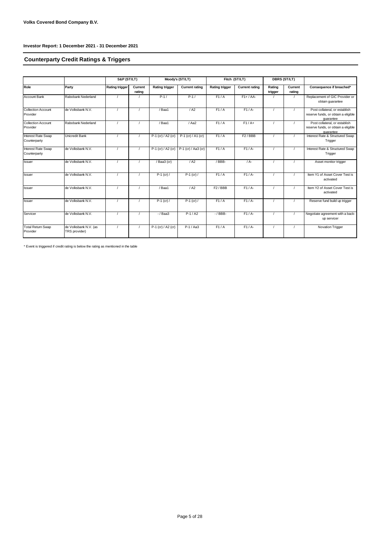## **Counterparty Credit Ratings & Triggers**

|                                       |                                        | S&P (ST/LT)           |                   | Moody's (ST/LT)       |                       | Fitch (ST/LT)         |                       | <b>DBRS (ST/LT)</b> |                   |                                                                                   |  |
|---------------------------------------|----------------------------------------|-----------------------|-------------------|-----------------------|-----------------------|-----------------------|-----------------------|---------------------|-------------------|-----------------------------------------------------------------------------------|--|
| Role                                  | Party                                  | <b>Rating trigger</b> | Current<br>rating | <b>Rating trigger</b> | <b>Current rating</b> | <b>Rating trigger</b> | <b>Current rating</b> | Rating<br>trigger   | Current<br>rating | Consequence if breached*                                                          |  |
| <b>Account Bank</b>                   | Rabobank Nederland                     |                       |                   | $P-1/$                | $P-1/$                | F1/A                  | $F1+ / AA-$           |                     |                   | Replacement of GIC Provider or<br>obtain quarantee                                |  |
| <b>Collection Account</b><br>Provider | de Volksbank N.V.                      |                       |                   | /Baa1                 | / A2                  | F1/A                  | $F1/A-$               |                     | $\prime$          | Post collateral, or establish<br>reserve funds, or obtain a eligible<br>quarantee |  |
| <b>Collection Account</b><br>Provider | Rabobank Nederland                     |                       |                   | / Baa1                | / Aa2                 | F1/A                  | $F1/A+$               |                     |                   | Post collateral, or establish<br>reserve funds, or obtain a eligible<br>quarantee |  |
| Interest Rate Swap<br>Counterparty    | Unicredit Bank                         |                       |                   | P-1 (cr) / A2 (cr)    | P-1 (cr) $/$ A1 (cr)  | F1/A                  | F2/BBB                |                     |                   | Interest Rate & Structured Swap<br>Trigger                                        |  |
| Interest Rate Swap<br>Counterparty    | de Volksbank N.V.                      |                       |                   | P-1 (cr) / A2 (cr)    | P-1 (cr) / Aa3 (cr)   | F1/A                  | $F1/A-$               |                     |                   | Interest Rate & Structured Swap<br>Trigger                                        |  |
| Issuer                                | de Volksbank N.V.                      |                       |                   | / Baa3 (cr)           | / A2                  | /BBB-                 | $/A -$                |                     |                   | Asset monitor trigger                                                             |  |
| Issuer                                | de Volksbank N.V.                      |                       |                   | $P-1$ (cr) /          | $P-1$ (cr) /          | F1/A                  | $F1/A-$               |                     |                   | Item Y1 of Asset Cover Test is<br>activated                                       |  |
| <b>Issuer</b>                         | de Volksbank N.V.                      |                       |                   | / Baa1                | / A2                  | F2/BBB                | $F1/A-$               |                     |                   | Item Y2 of Asset Cover Test is<br>activated                                       |  |
| <b>Issuer</b>                         | de Volksbank N.V.                      |                       |                   | $P-1$ (cr) /          | $P-1$ (cr) /          | F1/A                  | $F1/A-$               |                     |                   | Reserve fund build up trigger                                                     |  |
| Servicer                              | de Volksbank N.V.                      |                       |                   | $-$ / Baa3            | $P-1/A2$              | $-$ / BBB-            | $F1/A-$               |                     |                   | Negotiate agreement with a back-<br>up servicer                                   |  |
| <b>Total Return Swap</b><br>Provider  | de Volksbank N.V. (as<br>TRS provider) |                       |                   | P-1 (cr) / A2 (cr)    | $P-1/Aa3$             | $\overline{F1}/A$     | $F1/A-$               |                     |                   | Novation Trigger                                                                  |  |

 $*$  Event is triggered if credit rating is below the rating as mentioned in the table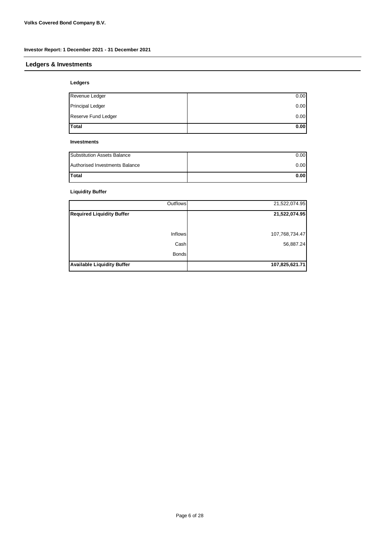## **Ledgers & Investments**

#### **Ledgers**

| <b>Total</b>        | 0.00 |
|---------------------|------|
| Reserve Fund Ledger | 0.00 |
| Principal Ledger    | 0.00 |
| Revenue Ledger      | 0.00 |
|                     |      |

#### **Investments**

| Substitution Assets Balance    | 0.00 |
|--------------------------------|------|
| Authorised Investments Balance | 0.00 |
| Total                          | 0.00 |

## **Liquidity Buffer**

| Outflows                          | 21,522,074.95  |
|-----------------------------------|----------------|
| <b>Required Liquidity Buffer</b>  | 21,522,074.95  |
|                                   |                |
| Inflows                           | 107,768,734.47 |
| Cash                              | 56,887.24      |
| <b>Bonds</b>                      |                |
| <b>Available Liquidity Buffer</b> | 107,825,621.71 |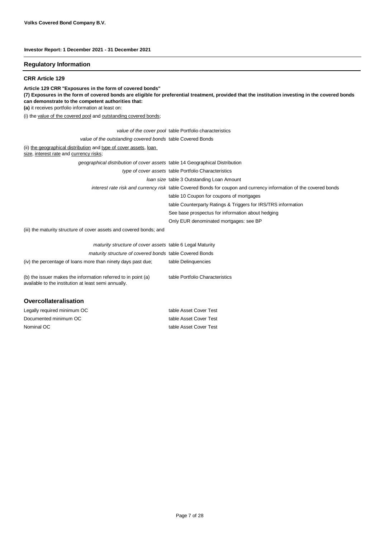#### **Regulatory Information**

#### **CRR Article 129**

**Article 129 CRR "Exposures in the form of covered bonds"**

**(7) Exposures in the form of covered bonds are eligible for preferential treatment, provided that the institution investing in the covered bonds can demonstrate to the competent authorities that:**

**(a)** it receives portfolio information at least on:

(i) the value of the covered pool and outstanding covered bonds;

| Overcollateralisation                                                                                                 |                                                                                                                   |
|-----------------------------------------------------------------------------------------------------------------------|-------------------------------------------------------------------------------------------------------------------|
| (b) the issuer makes the information referred to in point (a)<br>available to the institution at least semi annually. | table Portfolio Characteristics                                                                                   |
| (iv) the percentage of loans more than ninety days past due;                                                          | table Delinquencies                                                                                               |
| maturity structure of covered bonds table Covered Bonds                                                               |                                                                                                                   |
| maturity structure of cover assets table 6 Legal Maturity                                                             |                                                                                                                   |
| (iii) the maturity structure of cover assets and covered bonds; and                                                   |                                                                                                                   |
|                                                                                                                       | Only EUR denominated mortgages: see BP                                                                            |
|                                                                                                                       | See base prospectus for information about hedging                                                                 |
|                                                                                                                       | table Counterparty Ratings & Triggers for IRS/TRS information                                                     |
|                                                                                                                       | table 10 Coupon for coupons of mortgages                                                                          |
|                                                                                                                       | interest rate risk and currency risk table Covered Bonds for coupon and currency information of the covered bonds |
|                                                                                                                       | Joan size table 3 Outstanding Loan Amount                                                                         |
|                                                                                                                       | type of cover assets table Portfolio Characteristics                                                              |
| geographical distribution of cover assets table 14 Geographical Distribution                                          |                                                                                                                   |
| (ii) the geographical distribution and type of cover assets, loan<br>size, interest rate and currency risks;          |                                                                                                                   |
| value of the outstanding covered bonds table Covered Bonds                                                            |                                                                                                                   |
|                                                                                                                       | value of the cover pool table Portfolio characteristics                                                           |
|                                                                                                                       |                                                                                                                   |

| Legally required minimum OC | table Asset Cover Test |
|-----------------------------|------------------------|
| Documented minimum OC       | table Asset Cover Test |
| Nominal OC l                | table Asset Cover Test |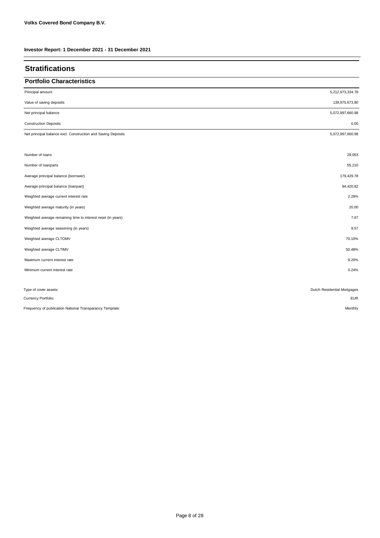| <b>Stratifications</b>                                       |                             |
|--------------------------------------------------------------|-----------------------------|
| <b>Portfolio Characteristics</b>                             |                             |
| Principal amount                                             | 5,212,973,334.78            |
| Value of saving deposits                                     | 139,975,673.80              |
| Net principal balance                                        | 5,072,997,660.98            |
| <b>Construction Deposits</b>                                 | 0.00                        |
| Net principal balance excl. Construction and Saving Deposits | 5,072,997,660.98            |
|                                                              |                             |
| Number of loans                                              | 29,053                      |
| Number of loanparts                                          | 55,210                      |
| Average principal balance (borrower)                         | 179,429.78                  |
| Average principal balance (loanpart)                         | 94,420.82                   |
| Weighted average current interest rate                       | 2.29%                       |
| Weighted average maturity (in years)                         | 20.00                       |
| Weighted average remaining time to interest reset (in years) | 7.67                        |
| Weighted average seasoning (in years)                        | 9.57                        |
| Weighted average CLTOMV                                      | 70.10%                      |
| Weighted average CLTIMV                                      | 50.48%                      |
| Maximum current interest rate                                | 9.20%                       |
| Minimum current interest rate                                | 0.24%                       |
|                                                              |                             |
| Type of cover assets:                                        | Dutch Residential Mortgages |
| Currency Portfolio:                                          | <b>EUR</b>                  |
| Frequency of publication National Transparancy Template:     | Monthly                     |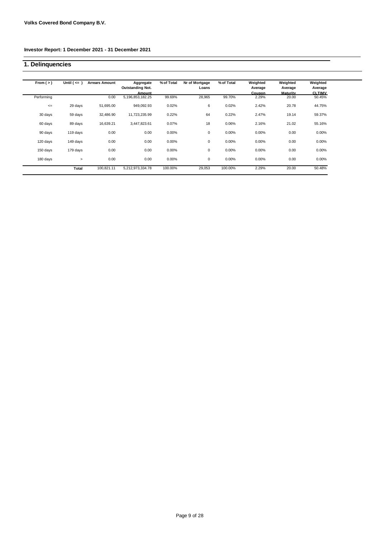# **1. Delinquencies**

| From $(>)$ | Until $($ $\leq$ $)$ | <b>Arrears Amount</b> | Aggregate<br><b>Outstanding Not.</b> | % of Total | Nr of Mortgage<br>Loans | % of Total | Weighted<br>Average | Weighted<br>Average      | Weighted<br>Average     |
|------------|----------------------|-----------------------|--------------------------------------|------------|-------------------------|------------|---------------------|--------------------------|-------------------------|
| Performing |                      | 0.00                  | Amount<br>5, 196, 853, 182. 25       | 99.69%     | 28,965                  | 99.70%     | Coupon<br>2.29%     | <b>Maturity</b><br>20.00 | <b>CLTIMV</b><br>50.45% |
| $\leq$     | 29 days              | 51,695.00             | 949,092.93                           | 0.02%      | 6                       | 0.02%      | 2.42%               | 20.78                    | 44.75%                  |
| 30 days    | 59 days              | 32,486.90             | 11,723,235.99                        | 0.22%      | 64                      | 0.22%      | 2.47%               | 19.14                    | 59.37%                  |
| 60 days    | 89 days              | 16,639.21             | 3,447,823.61                         | 0.07%      | 18                      | 0.06%      | 2.16%               | 21.02                    | 55.16%                  |
| 90 days    | 119 days             | 0.00                  | 0.00                                 | 0.00%      | 0                       | 0.00%      | 0.00%               | 0.00                     | 0.00%                   |
| 120 days   | 149 days             | 0.00                  | 0.00                                 | 0.00%      | 0                       | 0.00%      | 0.00%               | 0.00                     | 0.00%                   |
| 150 days   | 179 days             | 0.00                  | 0.00                                 | 0.00%      | $\mathbf 0$             | 0.00%      | 0.00%               | 0.00                     | 0.00%                   |
| 180 days   | $\geq$               | 0.00                  | 0.00                                 | 0.00%      | 0                       | 0.00%      | 0.00%               | 0.00                     | 0.00%                   |
|            | Total                | 100,821.11            | 5,212,973,334.78                     | 100.00%    | 29,053                  | 100.00%    | 2.29%               | 20.00                    | 50.48%                  |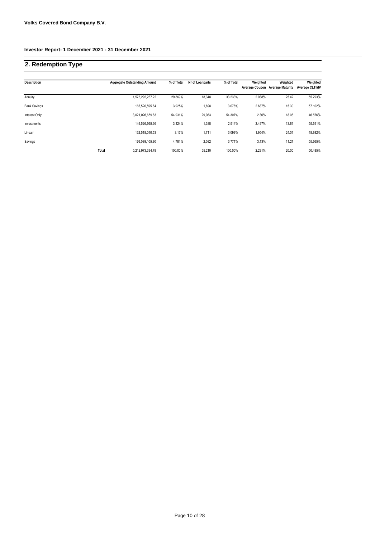# **2. Redemption Type**

| <b>Description</b>  |       | <b>Aggregate Outstanding Amount</b> | % of Total | Nr of Loanparts | % of Total | Weighted<br><b>Average Coupon</b> | Weighted<br><b>Average Maturity</b> | Weighted<br><b>Average CLTIMV</b> |
|---------------------|-------|-------------------------------------|------------|-----------------|------------|-----------------------------------|-------------------------------------|-----------------------------------|
| Annuity             |       | 1,573,292,267.22                    | 29.869%    | 18,348          | 33.233%    | 2.038%                            | 25.42                               | 55.793%                           |
| <b>Bank Savings</b> |       | 165,520,595.64                      | 3.925%     | 1,698           | 3.076%     | 2.637%                            | 15.30                               | 57.102%                           |
| Interest Only       |       | 3,021,026,659.83                    | 54.931%    | 29.983          | 54.307%    | 2.36%                             | 18.08                               | 46.876%                           |
| Investments         |       | 144.526.665.66                      | 3.324%     | 1,388           | 2.514%     | 2.497%                            | 13.61                               | 55.641%                           |
| Lineair             |       | 132.518.040.53                      | 3.17%      | 1,711           | 3.099%     | 1.954%                            | 24.01                               | 48.982%                           |
| Savings             |       | 176.089.105.90                      | 4.781%     | 2.082           | 3.771%     | 3.13%                             | 11.27                               | 55.665%                           |
|                     | Total | 5,212,973,334.78                    | 100.00%    | 55,210          | 100.00%    | 2.291%                            | 20.00                               | 50.485%                           |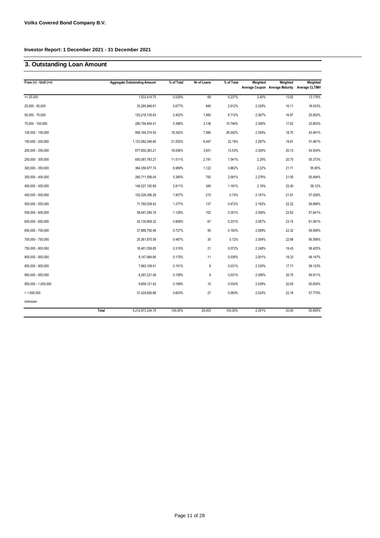# **3. Outstanding Loan Amount**

| From $(>)$ - Until $(<=)$ | <b>Aggregate Outstanding Amount</b> | % of Total | Nr of Loans | % of Total | Weighted | Weighted<br>Average Coupon Average Maturity | Weighted<br><b>Average CLTIMV</b> |
|---------------------------|-------------------------------------|------------|-------------|------------|----------|---------------------------------------------|-----------------------------------|
| $= 25.000$                | 1,533,414.75                        | 0.029%     | 69          | 0.237%     | 2.40%    | 13.82                                       | 13.179%                           |
| $25,000 - 50,000$         | 35,285,846.61                       | 0.677%     | 846         | 2.912%     | 2.329%   | 16.11                                       | 18.433%                           |
| $50,000 - 75,000$         | 125,218,135.83                      | 2.402%     | 1,950       | 6.712%     | 2.367%   | 16.97                                       | 25.802%                           |
| 75,000 - 100,000          | 280,794,454.41                      | 5.386%     | 3,136       | 10.794%    | 2.395%   | 17.62                                       | 33.803%                           |
| 100,000 - 150,000         | 956, 184, 374.50                    | 18.342%    | 7,566       | 26.042%    | 2.354%   | 18.70                                       | 43.491%                           |
| 150,000 - 200,000         | 1,123,562,046.80                    | 21.553%    | 6,447       | 22.19%     | 2.297%   | 19.81                                       | 51.481%                           |
| 200,000 - 250,000         | 877,650,363.21                      | 16.836%    | 3,931       | 13.53%     | 2.304%   | 20.13                                       | 54.934%                           |
| 250,000 - 300,000         | 600,087,783.27                      | 11.511%    | 2,191       | 7.541%     | 2.29%    | 20.75                                       | 55.373%                           |
| 300,000 - 350,000         | 364, 359, 977. 74                   | 6.989%     | 1,122       | 3.862%     | 2.22%    | 21.71                                       | 55.85%                            |
| 350,000 - 400,000         | 280,711,558.04                      | 5.385%     | 750         | 2.581%     | 2.276%   | 21.00                                       | 55.494%                           |
| 400,000 - 450,000         | 146,527,192.69                      | 2.811%     | 346         | 1.191%     | 2.18%    | 22.40                                       | 58.12%                            |
| 450,000 - 500,000         | 102,026,396.28                      | 1.957%     | 215         | 0.74%      | 2.181%   | 21.91                                       | 57.528%                           |
| 500,000 - 550,000         | 71,780,038.42                       | 1.377%     | 137         | 0.472%     | 2.192%   | 22.22                                       | 59.898%                           |
| 550,000 - 600,000         | 58,847,284.78                       | 1.129%     | 102         | 0.351%     | 2.056%   | 22.62                                       | 57.641%                           |
| 600,000 - 650,000         | 42,130,608.32                       | 0.808%     | 67          | 0.231%     | 2.087%   | 23.74                                       | 61.091%                           |
| 650,000 - 700,000         | 37,888,750.46                       | 0.727%     | 56          | 0.193%     | 2.069%   | 22.32                                       | 59.069%                           |
| 700,000 - 750,000         | 25,361,675.59                       | 0.487%     | 35          | 0.12%      | 2.054%   | 22.66                                       | 56.598%                           |
| 750,000 - 800,000         | 16,401,359.85                       | 0.315%     | 21          | 0.072%     | 2.248%   | 19.43                                       | 58.425%                           |
| 800,000 - 850,000         | 9,147,984.66                        | 0.175%     | 11          | 0.038%     | 2.001%   | 18.33                                       | 48.147%                           |
| 850,000 - 900,000         | 7,893,109.41                        | 0.151%     | 9           | 0.031%     | 2.335%   | 17.71                                       | 58.133%                           |
| 900,000 - 950,000         | 8,297,231.08                        | 0.159%     | 9           | 0.031%     | 2.006%   | 20.75                                       | 59.911%                           |
| 950,000 - 1,000,000       | 9,859,121.42                        | 0.189%     | 10          | 0.034%     | 2.039%   | 20.05                                       | 50.004%                           |
| > 1.000.000               | 31,424,626.66                       | 0.603%     | 27          | 0.093%     | 2.024%   | 22.16                                       | 57.775%                           |
| Unknown                   |                                     |            |             |            |          |                                             |                                   |
|                           | Total<br>5,212,973,334.78           | 100.00%    | 29,053      | 100.00%    | 2.291%   | 20.00                                       | 50.485%                           |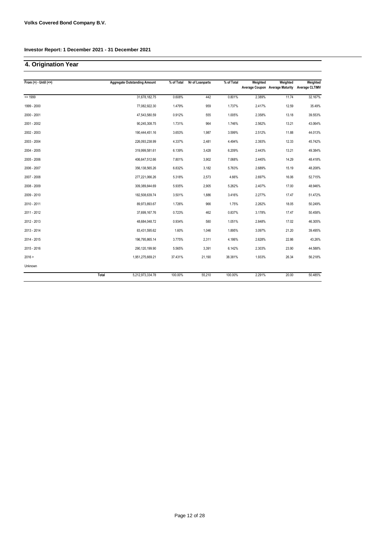# **4. Origination Year**

| From $(>) -$ Until $(<=)$ |       | <b>Aggregate Outstanding Amount</b> | % of Total | Nr of Loanparts | % of Total | Weighted | Weighted                        | Weighted              |
|---------------------------|-------|-------------------------------------|------------|-----------------|------------|----------|---------------------------------|-----------------------|
|                           |       |                                     |            |                 |            |          | Average Coupon Average Maturity | <b>Average CLTIMV</b> |
| $= 1999$                  |       | 31,678,182.75                       | 0.608%     | 442             | 0.801%     | 2.389%   | 11.74                           | 32.167%               |
| 1999 - 2000               |       | 77,082,922.30                       | 1.479%     | 959             | 1.737%     | 2.417%   | 12.59                           | 35.49%                |
| 2000 - 2001               |       | 47,543,580.59                       | 0.912%     | 555             | 1.005%     | 2.358%   | 13.18                           | 39.553%               |
| 2001 - 2002               |       | 90,245,308.75                       | 1.731%     | 964             | 1.746%     | 2.562%   | 13.21                           | 43.064%               |
| 2002 - 2003               |       | 190,444,451.16                      | 3.653%     | 1,987           | 3.599%     | 2.512%   | 11.88                           | 44.013%               |
| 2003 - 2004               |       | 226,093,238.99                      | 4.337%     | 2,481           | 4.494%     | 2.393%   | 12.33                           | 45.742%               |
| 2004 - 2005               |       | 319,999,581.61                      | 6.139%     | 3,428           | 6.209%     | 2.443%   | 13.21                           | 49.384%               |
| 2005 - 2006               |       | 406,647,512.66                      | 7.801%     | 3,902           | 7.068%     | 2.445%   | 14.29                           | 48.418%               |
| 2006 - 2007               |       | 356, 138, 565.26                    | 6.832%     | 3,182           | 5.763%     | 2.689%   | 15.19                           | 48.208%               |
| 2007 - 2008               |       | 277,221,066.26                      | 5.318%     | 2,573           | 4.66%      | 2.697%   | 16.06                           | 52.715%               |
| 2008 - 2009               |       | 309,389,844.69                      | 5.935%     | 2,905           | 5.262%     | 2.407%   | 17.00                           | 48.946%               |
| 2009 - 2010               |       | 182,508,639.74                      | 3.501%     | 1,886           | 3.416%     | 2.277%   | 17.47                           | 51.472%               |
| 2010 - 2011               |       | 89,973,893.67                       | 1.726%     | 966             | 1.75%      | 2.262%   | 18.05                           | 50.249%               |
| 2011 - 2012               |       | 37,699,167.76                       | 0.723%     | 462             | 0.837%     | 3.178%   | 17.47                           | 50.458%               |
| 2012 - 2013               |       | 48,684,048.72                       | 0.934%     | 580             | 1.051%     | 2.848%   | 17.02                           | 46.305%               |
| 2013 - 2014               |       | 83,431,595.62                       | 1.60%      | 1,046           | 1.895%     | 3.097%   | 21.20                           | 39.495%               |
| 2014 - 2015               |       | 196,795,865.14                      | 3.775%     | 2,311           | 4.186%     | 2.628%   | 22.86                           | 43.26%                |
| 2015 - 2016               |       | 290,120,199.90                      | 5.565%     | 3,391           | 6.142%     | 2.303%   | 23.90                           | 44.588%               |
| 2016 >                    |       | 1,951,275,669.21                    | 37.431%    | 21,190          | 38.381%    | 1.933%   | 26.34                           | 56.218%               |
| Unknown                   |       |                                     |            |                 |            |          |                                 |                       |
|                           | Total | 5,212,973,334.78                    | 100.00%    | 55,210          | 100.00%    | 2.291%   | 20.00                           | 50.485%               |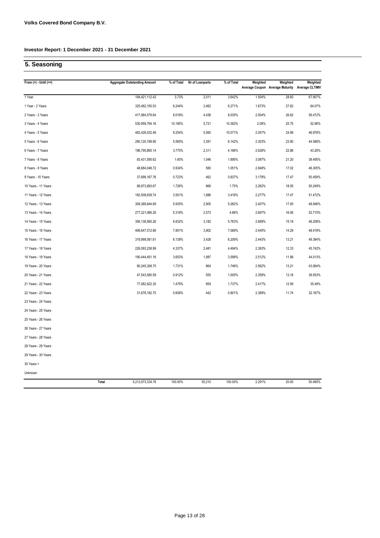## **5. Seasoning**

| From $(>)$ - Until $(<=)$ | <b>Aggregate Outstanding Amount</b> | % of Total | Nr of Loanparts | % of Total | Weighted | Weighted<br>Average Coupon Average Maturity Average CLTIMV | Weighted |
|---------------------------|-------------------------------------|------------|-----------------|------------|----------|------------------------------------------------------------|----------|
| 1 Year                    | 194,421,112.42                      | 3.73%      | 2,011           | 3.642%     | 1.504%   | 28.60                                                      | 67.907%  |
| 1 Year - 2 Years          | 325,482,150.53                      | 6.244%     | 3,462           | 6.271%     | 1.673%   | 27.62                                                      | 64.07%   |
| 2 Years - 3 Years         | 417,984,579.64                      | 8.018%     | 4,436           | 8.035%     | 2.004%   | 26.62                                                      | 59.472%  |
| 3 Years - 4 Years         | 530,959,794.16                      | 10.185%    | 5,721           | 10.362%    | 2.08%    | 25.75                                                      | 52.96%   |
| 4 Years - 5 Years         | 482,428,032.46                      | 9.254%     | 5,560           | 10.071%    | 2.057%   | 24.99                                                      | 46.978%  |
| 5 Years - 6 Years         | 290,120,199.90                      | 5.565%     | 3,391           | 6.142%     | 2.303%   | 23.90                                                      | 44.588%  |
| 6 Years - 7 Years         | 196,795,865.14                      | 3.775%     | 2,311           | 4.186%     | 2.628%   | 22.86                                                      | 43.26%   |
| 7 Years - 8 Years         | 83,431,595.62                       | 1.60%      | 1,046           | 1.895%     | 3.097%   | 21.20                                                      | 39.495%  |
| 8 Years - 9 Years         | 48,684,048.72                       | 0.934%     | 580             | 1.051%     | 2.848%   | 17.02                                                      | 46.305%  |
| 9 Years - 10 Years        | 37,699,167.76                       | 0.723%     | 462             | 0.837%     | 3.178%   | 17.47                                                      | 50.458%  |
| 10 Years - 11 Years       | 89,973,893.67                       | 1.726%     | 966             | 1.75%      | 2.262%   | 18.05                                                      | 50.249%  |
| 11 Years - 12 Years       | 182,508,639.74                      | 3.501%     | 1,886           | 3.416%     | 2.277%   | 17.47                                                      | 51.472%  |
| 12 Years - 13 Years       | 309,389,844.69                      | 5.935%     | 2,905           | 5.262%     | 2.407%   | 17.00                                                      | 48.946%  |
| 13 Years - 14 Years       | 277,221,066.26                      | 5.318%     | 2,573           | 4.66%      | 2.697%   | 16.06                                                      | 52.715%  |
| 14 Years - 15 Years       | 356, 138, 565.26                    | 6.832%     | 3,182           | 5.763%     | 2.689%   | 15.19                                                      | 48.208%  |
| 15 Years - 16 Years       | 406,647,512.66                      | 7.801%     | 3,902           | 7.068%     | 2.445%   | 14.29                                                      | 48.418%  |
| 16 Years - 17 Years       | 319,999,581.61                      | 6.139%     | 3,428           | 6.209%     | 2.443%   | 13.21                                                      | 49.384%  |
| 17 Years - 18 Years       | 226,093,238.99                      | 4.337%     | 2,481           | 4.494%     | 2.393%   | 12.33                                                      | 45.742%  |
| 18 Years - 19 Years       | 190,444,451.16                      | 3.653%     | 1,987           | 3.599%     | 2.512%   | 11.88                                                      | 44.013%  |
| 19 Years - 20 Years       | 90,245,308.75                       | 1.731%     | 964             | 1.746%     | 2.562%   | 13.21                                                      | 43.064%  |
| 20 Years - 21 Years       | 47,543,580.59                       | 0.912%     | 555             | 1.005%     | 2.358%   | 13.18                                                      | 39.553%  |
| 21 Years - 22 Years       | 77,082,922.30                       | 1.479%     | 959             | 1.737%     | 2.417%   | 12.59                                                      | 35.49%   |
| 22 Years - 23 Years       | 31,678,182.75                       | 0.608%     | 442             | 0.801%     | 2.389%   | 11.74                                                      | 32.167%  |
| 23 Years - 24 Years       |                                     |            |                 |            |          |                                                            |          |
| 24 Years - 25 Years       |                                     |            |                 |            |          |                                                            |          |
| 25 Years - 26 Years       |                                     |            |                 |            |          |                                                            |          |
| 26 Years - 27 Years       |                                     |            |                 |            |          |                                                            |          |
| 27 Years - 28 Years       |                                     |            |                 |            |          |                                                            |          |
| 28 Years - 29 Years       |                                     |            |                 |            |          |                                                            |          |
| 29 Years - 30 Years       |                                     |            |                 |            |          |                                                            |          |
| 30 Years >                |                                     |            |                 |            |          |                                                            |          |
| Unknown                   |                                     |            |                 |            |          |                                                            |          |
|                           | Total<br>5,212,973,334.78           | 100.00%    | 55,210          | 100.00%    | 2.291%   | 20.00                                                      | 50.485%  |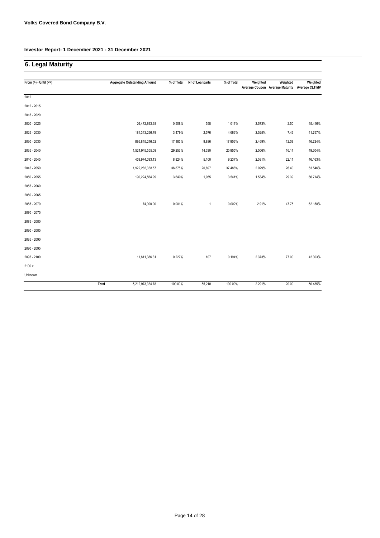# **6. Legal Maturity**

| From $(>)$ - Until $(<=)$ |       | <b>Aggregate Outstanding Amount</b> | % of Total | Nr of Loanparts | % of Total | Weighted | Weighted<br>Average Coupon Average Maturity | Weighted<br><b>Average CLTIMV</b> |
|---------------------------|-------|-------------------------------------|------------|-----------------|------------|----------|---------------------------------------------|-----------------------------------|
|                           |       |                                     |            |                 |            |          |                                             |                                   |
| 2012                      |       |                                     |            |                 |            |          |                                             |                                   |
| 2012 - 2015               |       |                                     |            |                 |            |          |                                             |                                   |
| 2015 - 2020               |       |                                     |            |                 |            |          |                                             |                                   |
| 2020 - 2025               |       | 26,472,893.38                       | 0.508%     | 558             | 1.011%     | 2.573%   | 2.50                                        | 45.416%                           |
| 2025 - 2030               |       | 181,343,256.79                      | 3.479%     | 2,576           | 4.666%     | 2.525%   | 7.46                                        | 41.757%                           |
| 2030 - 2035               |       | 895,845,246.52                      | 17.185%    | 9,886           | 17.906%    | 2.469%   | 12.09                                       | 46.724%                           |
| 2035 - 2040               |       | 1,524,945,555.09                    | 29.253%    | 14,330          | 25.955%    | 2.506%   | 16.14                                       | 49.304%                           |
| 2040 - 2045               |       | 459,974,093.13                      | 8.824%     | 5,100           | 9.237%     | 2.531%   | 22.11                                       | 46.163%                           |
| 2045 - 2050               |       | 1,922,282,338.57                    | 36.875%    | 20,697          | 37.488%    | 2.029%   | 26.40                                       | 53.546%                           |
| 2050 - 2055               |       | 190,224,564.99                      | 3.649%     | 1,955           | 3.541%     | 1.534%   | 29.39                                       | 66.714%                           |
| 2055 - 2060               |       |                                     |            |                 |            |          |                                             |                                   |
| 2060 - 2065               |       |                                     |            |                 |            |          |                                             |                                   |
| 2065 - 2070               |       | 74,000.00                           | 0.001%     | 1               | 0.002%     | 2.91%    | 47.75                                       | 62.158%                           |
| 2070 - 2075               |       |                                     |            |                 |            |          |                                             |                                   |
| 2075 - 2080               |       |                                     |            |                 |            |          |                                             |                                   |
| 2080 - 2085               |       |                                     |            |                 |            |          |                                             |                                   |
| 2085 - 2090               |       |                                     |            |                 |            |          |                                             |                                   |
| 2090 - 2095               |       |                                     |            |                 |            |          |                                             |                                   |
| 2095 - 2100               |       | 11,811,386.31                       | 0.227%     | 107             | 0.194%     | 2.373%   | 77.00                                       | 42.303%                           |
| 2100 >                    |       |                                     |            |                 |            |          |                                             |                                   |
| Unknown                   |       |                                     |            |                 |            |          |                                             |                                   |
|                           | Total | 5,212,973,334.78                    | 100.00%    | 55,210          | 100.00%    | 2.291%   | 20.00                                       | 50.485%                           |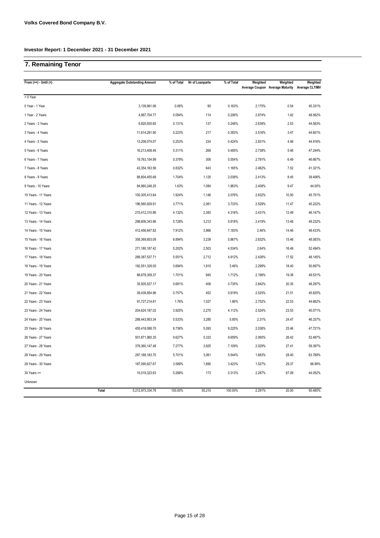# **7. Remaining Tenor**

| From $(>=) -$ Until $($ | <b>Aggregate Outstanding Amount</b> | % of Total | Nr of Loanparts | % of Total | Weighted | Weighted<br>Average Coupon Average Maturity Average CLTIMV | Weighted |
|-------------------------|-------------------------------------|------------|-----------------|------------|----------|------------------------------------------------------------|----------|
| < 0 Year                |                                     |            |                 |            |          |                                                            |          |
| 0 Year - 1 Year         | 3,139,961.06                        | 0.06%      | 90              | 0.163%     | 2.175%   | 0.54                                                       | 45.331%  |
| 1 Year - 2 Years        | 4,897,704.77                        | 0.094%     | 114             | 0.206%     | 2.874%   | 1.42                                                       | 48.562%  |
| 2 Years - 3 Years       | 6,820,935.65                        | 0.131%     | 137             | 0.248%     | 2.638%   | 2.53                                                       | 44.583%  |
| 3 Years - 4 Years       | 11,614,291.90                       | 0.223%     | 217             | 0.393%     | 2.516%   | 3.47                                                       | 44.601%  |
| 4 Years - 5 Years       | 13,208,074.07                       | 0.253%     | 234             | 0.424%     | 2.831%   | 4.48                                                       | 44.916%  |
| 5 Years - 6 Years       | 16,213,408.49                       | 0.311%     | 268             | 0.485%     | 2.738%   | 5.46                                                       | 47.244%  |
| 6 Years - 7 Years       | 19,763,154.99                       | 0.379%     | 306             | 0.554%     | 2.791%   | 6.49                                                       | 46.667%  |
| 7 Years - 8 Years       | 43,354,163.56                       | 0.832%     | 643             | 1.165%     | 2.462%   | 7.52                                                       | 41.321%  |
| 8 Years - 9 Years       | 88,804,455.68                       | 1.704%     | 1,125           | 2.038%     | 2.413%   | 8.45                                                       | 39.406%  |
| 9 Years - 10 Years      | 84,960,248.25                       | 1.63%      | 1,084           | 1.963%     | 2.408%   | 9.47                                                       | 44.00%   |
| 10 Years - 11 Years     | 100,305,413.64                      | 1.924%     | 1,146           | 2.076%     | 2.632%   | 10.50                                                      | 45.751%  |
| 11 Years - 12 Years     | 196,560,929.91                      | 3.771%     | 2,061           | 3.733%     | 2.529%   | 11.47                                                      | 45.222%  |
| 12 Years - 13 Years     | 215,412,310.86                      | 4.132%     | 2,383           | 4.316%     | 2.431%   | 12.49                                                      | 46.147%  |
| 13 Years - 14 Years     | 298,606,343.86                      | 5.728%     | 3,212           | 5.818%     | 2.419%   | 13.48                                                      | 49.232%  |
| 14 Years - 15 Years     | 412,456,647.82                      | 7.912%     | 3,966           | 7.183%     | 2.46%    | 14.46                                                      | 48.433%  |
| 15 Years - 16 Years     | 359,369,853.09                      | 6.894%     | 3,239           | 5.867%     | 2.632%   | 15.46                                                      | 48.083%  |
| 16 Years - 17 Years     | 271,180,187.42                      | 5.202%     | 2,503           | 4.534%     | 2.64%    | 16.49                                                      | 52.494%  |
| 17 Years - 18 Years     | 289,387,537.71                      | 5.551%     | 2,712           | 4.912%     | 2.426%   | 17.52                                                      | 48.145%  |
| 18 Years - 19 Years     | 192,551,329.05                      | 3.694%     | 1,910           | 3.46%      | 2.299%   | 18.40                                                      | 50.697%  |
| 19 Years - 20 Years     | 88,678,309.37                       | 1.701%     | 945             | 1.712%     | 2.196%   | 19.38                                                      | 49.531%  |
| 20 Years - 21 Years     | 35,505,527.17                       | 0.681%     | 406             | 0.735%     | 2.842%   | 20.35                                                      | 48.297%  |
| 21 Years - 22 Years     | 39,438,854.96                       | 0.757%     | 452             | 0.819%     | 2.525%   | 21.51                                                      | 45.825%  |
| 22 Years - 23 Years     | 91,727,214.61                       | 1.76%      | 1,027           | 1.86%      | 2.752%   | 22.53                                                      | 44.662%  |
| 23 Years - 24 Years     | 204,624,187.02                      | 3.925%     | 2,270           | 4.112%     | 2.524%   | 23.53                                                      | 45.071%  |
| 24 Years - 25 Years     | 288,443,953.34                      | 5.533%     | 3,285           | 5.95%      | 2.31%    | 24.47                                                      | 46.337%  |
| 25 Years - 26 Years     | 455,418,088.70                      | 8.736%     | 5,093           | 9.225%     | 2.036%   | 25.46                                                      | 47.721%  |
| 26 Years - 27 Years     | 501,871,965.35                      | 9.627%     | 5,333           | 9.659%     | 2.065%   | 26.42                                                      | 52.487%  |
| 27 Years - 28 Years     | 379,360,147.48                      | 7.277%     | 3,925           | 7.109%     | 2.029%   | 27.41                                                      | 59.397%  |
| 28 Years - 29 Years     | 297, 188, 183.70                    | 5.701%     | 3,061           | 5.544%     | 1.683%   | 28.40                                                      | 63.789%  |
| 29 Years - 30 Years     | 187,090,627.67                      | 3.589%     | 1,890           | 3.423%     | 1.527%   | 29.37                                                      | 66.99%   |
| $30$ Years $>=$         | 15,019,323.63                       | 0.288%     | 173             | 0.313%     | 2.287%   | 67.09                                                      | 44.052%  |
| Unknown                 |                                     |            |                 |            |          |                                                            |          |
|                         | Total<br>5,212,973,334.78           | 100.00%    | 55,210          | 100.00%    | 2.291%   | 20.00                                                      | 50.485%  |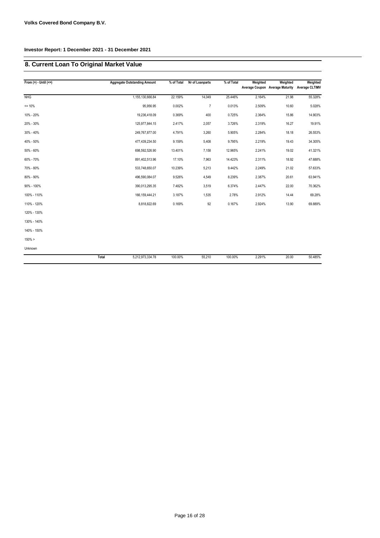# **8. Current Loan To Original Market Value**

| From $(>)$ - Until $(<=)$ |       | <b>Aggregate Outstanding Amount</b> | % of Total | Nr of Loanparts | % of Total | Weighted | Weighted<br>Average Coupon Average Maturity | Weighted<br><b>Average CLTIMV</b> |
|---------------------------|-------|-------------------------------------|------------|-----------------|------------|----------|---------------------------------------------|-----------------------------------|
| <b>NHG</b>                |       | 1,155,130,666.84                    | 22.159%    | 14,049          | 25.446%    | 2.164%   | 21.98                                       | 55.328%                           |
|                           |       |                                     |            |                 |            |          |                                             |                                   |
| $= 10%$                   |       | 95,956.95                           | 0.002%     | $\overline{7}$  | 0.013%     | 2.509%   | 10.60                                       | 5.028%                            |
| 10% - 20%                 |       | 19,236,418.09                       | 0.369%     | 400             | 0.725%     | 2.364%   | 15.86                                       | 14.903%                           |
| 20% - 30%                 |       | 125,977,844.15                      | 2.417%     | 2,057           | 3.726%     | 2.319%   | 16.27                                       | 19.91%                            |
| 30% - 40%                 |       | 249,767,877.00                      | 4.791%     | 3,260           | 5.905%     | 2.284%   | 18.18                                       | 26.553%                           |
| 40% - 50%                 |       | 477,439,234.50                      | 9.159%     | 5,408           | 9.795%     | 2.219%   | 19.43                                       | 34.305%                           |
| 50% - 60%                 |       | 698,592,526.90                      | 13.401%    | 7,158           | 12.965%    | 2.241%   | 19.02                                       | 41.321%                           |
| 60% - 70%                 |       | 891,402,513.96                      | 17.10%     | 7,963           | 14.423%    | 2.311%   | 18.92                                       | 47.688%                           |
| 70% - 80%                 |       | 533,748,650.07                      | 10.239%    | 5,213           | 9.442%     | 2.249%   | 21.02                                       | 57.633%                           |
| 80% - 90%                 |       | 496,590,084.07                      | 9.526%     | 4,549           | 8.239%     | 2.387%   | 20.61                                       | 63.941%                           |
| 90% - 100%                |       | 390,013,295.35                      | 7.482%     | 3,519           | 6.374%     | 2.447%   | 22.00                                       | 70.362%                           |
| 100% - 110%               |       | 166, 159, 444. 21                   | 3.187%     | 1,535           | 2.78%      | 2.912%   | 14.44                                       | 69.28%                            |
| 110% - 120%               |       | 8,818,822.69                        | 0.169%     | 92              | 0.167%     | 2.924%   | 13.90                                       | 69.889%                           |
| 120% - 130%               |       |                                     |            |                 |            |          |                                             |                                   |
| 130% - 140%               |       |                                     |            |                 |            |          |                                             |                                   |
| 140% - 150%               |       |                                     |            |                 |            |          |                                             |                                   |
| 150% >                    |       |                                     |            |                 |            |          |                                             |                                   |
| Unknown                   |       |                                     |            |                 |            |          |                                             |                                   |
|                           | Total | 5,212,973,334.78                    | 100.00%    | 55,210          | 100.00%    | 2.291%   | 20.00                                       | 50.485%                           |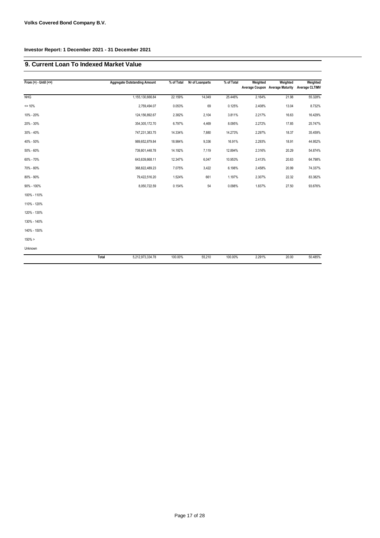#### **9. Current Loan To Indexed Market Value**

| From $(>)$ - Until $(<=)$ |       | <b>Aggregate Outstanding Amount</b> | % of Total | Nr of Loanparts | % of Total | Weighted | Weighted<br>Average Coupon Average Maturity | Weighted<br><b>Average CLTIMV</b> |
|---------------------------|-------|-------------------------------------|------------|-----------------|------------|----------|---------------------------------------------|-----------------------------------|
|                           |       |                                     |            |                 |            |          |                                             |                                   |
| <b>NHG</b>                |       | 1,155,130,666.84                    | 22.159%    | 14,049          | 25.446%    | 2.164%   | 21.98                                       | 55.328%                           |
| $= 10%$                   |       | 2,759,494.07                        | 0.053%     | 69              | 0.125%     | 2.408%   | 13.04                                       | 8.732%                            |
| 10% - 20%                 |       | 124, 156, 892. 67                   | 2.382%     | 2,104           | 3.811%     | 2.217%   | 16.63                                       | 16.429%                           |
| 20% - 30%                 |       | 354,305,172.70                      | 6.797%     | 4,469           | 8.095%     | 2.272%   | 17.85                                       | 25.747%                           |
| 30% - 40%                 |       | 747,231,383.75                      | 14.334%    | 7,880           | 14.273%    | 2.297%   | 18.37                                       | 35.459%                           |
| 40% - 50%                 |       | 989,652,879.84                      | 18.984%    | 9,336           | 16.91%     | 2.293%   | 18.91                                       | 44.952%                           |
| 50% - 60%                 |       | 739,801,448.78                      | 14.192%    | 7,119           | 12.894%    | 2.316%   | 20.29                                       | 54.874%                           |
| 60% - 70%                 |       | 643,639,668.11                      | 12.347%    | 6,047           | 10.953%    | 2.413%   | 20.63                                       | 64.798%                           |
| 70% - 80%                 |       | 368,822,489.23                      | 7.075%     | 3,422           | 6.198%     | 2.458%   | 20.99                                       | 74.337%                           |
| 80% - 90%                 |       | 79,422,516.20                       | 1.524%     | 661             | 1.197%     | 2.307%   | 22.32                                       | 83.382%                           |
| 90% - 100%                |       | 8,050,722.59                        | 0.154%     | 54              | 0.098%     | 1.837%   | 27.50                                       | 93.676%                           |
| 100% - 110%               |       |                                     |            |                 |            |          |                                             |                                   |
| 110% - 120%               |       |                                     |            |                 |            |          |                                             |                                   |
| 120% - 130%               |       |                                     |            |                 |            |          |                                             |                                   |
| 130% - 140%               |       |                                     |            |                 |            |          |                                             |                                   |
| 140% - 150%               |       |                                     |            |                 |            |          |                                             |                                   |
| $150\% >$                 |       |                                     |            |                 |            |          |                                             |                                   |
| Unknown                   |       |                                     |            |                 |            |          |                                             |                                   |
|                           | Total | 5,212,973,334.78                    | 100.00%    | 55,210          | 100.00%    | 2.291%   | 20.00                                       | 50.485%                           |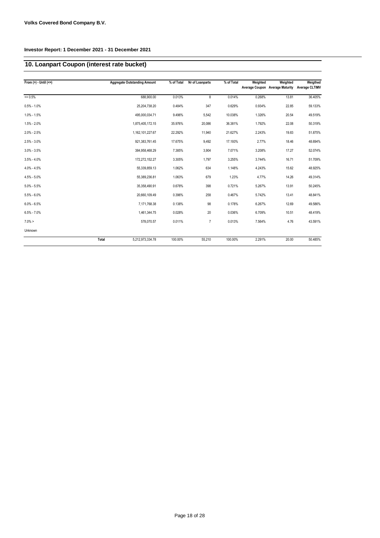# **10. Loanpart Coupon (interest rate bucket)**

| From $(>) -$ Until $(<=)$ |       | <b>Aggregate Outstanding Amount</b> | % of Total | Nr of Loanparts | % of Total | Weighted | Weighted<br>Average Coupon Average Maturity | Weigthed<br><b>Average CLTIMV</b> |
|---------------------------|-------|-------------------------------------|------------|-----------------|------------|----------|---------------------------------------------|-----------------------------------|
| $= 0.5%$                  |       | 688,900.00                          | 0.013%     | 8               | 0.014%     | 0.268%   | 13.81                                       | 36.405%                           |
| $0.5\% - 1.0\%$           |       | 25,204,738.20                       | 0.484%     | 347             | 0.629%     | 0.934%   | 22.85                                       | 59.133%                           |
| $1.0\% - 1.5\%$           |       | 495,000,034.71                      | 9.496%     | 5,542           | 10.038%    | 1.326%   | 20.54                                       | 49.519%                           |
| $1.5\% - 2.0\%$           |       | 1,875,405,172.15                    | 35.976%    | 20,086          | 36.381%    | 1.792%   | 22.08                                       | 50.319%                           |
| $2.0\% - 2.5\%$           |       | 1,162,101,227.67                    | 22.292%    | 11,940          | 21.627%    | 2.243%   | 19.83                                       | 51.875%                           |
| $2.5\% - 3.0\%$           |       | 921,383,761.45                      | 17.675%    | 9,492           | 17.193%    | 2.77%    | 18.46                                       | 48.694%                           |
| $3.0\% - 3.5\%$           |       | 384,958,468.29                      | 7.385%     | 3,904           | 7.071%     | 3.208%   | 17.27                                       | 52.074%                           |
| $3.5\% - 4.0\%$           |       | 172,272,152.27                      | 3.305%     | 1,797           | 3.255%     | 3.744%   | 16.71                                       | 51.709%                           |
| $4.0\% - 4.5\%$           |       | 55,339,859.13                       | 1.062%     | 634             | 1.148%     | 4.243%   | 15.62                                       | 48.925%                           |
| $4.5\% - 5.0\%$           |       | 55,389,236.81                       | 1.063%     | 679             | 1.23%      | 4.77%    | 14.26                                       | 49.314%                           |
| $5.0\% - 5.5\%$           |       | 35,358,490.91                       | 0.678%     | 398             | 0.721%     | 5.267%   | 13.91                                       | 50.245%                           |
| $5.5\% - 6.0\%$           |       | 20,660,109.49                       | 0.396%     | 258             | 0.467%     | 5.742%   | 13.41                                       | 48.841%                           |
| $6.0\% - 6.5\%$           |       | 7,171,768.38                        | 0.138%     | 98              | 0.178%     | 6.267%   | 12.69                                       | 49.586%                           |
| $6.5\% - 7.0\%$           |       | 1,461,344.75                        | 0.028%     | 20              | 0.036%     | 6.709%   | 10.51                                       | 48.419%                           |
| $7.0\% >$                 |       | 578,070.57                          | 0.011%     | $\overline{7}$  | 0.013%     | 7.564%   | 4.76                                        | 43.591%                           |
| Unknown                   |       |                                     |            |                 |            |          |                                             |                                   |
|                           | Total | 5,212,973,334.78                    | 100.00%    | 55,210          | 100.00%    | 2.291%   | 20.00                                       | 50.485%                           |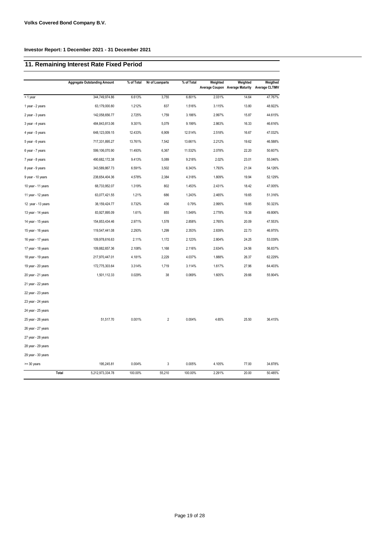# **11. Remaining Interest Rate Fixed Period**

|                    | <b>Aggregate Outstanding Amount</b> | % of Total | Nr of Loanparts | % of Total | Weighted | Weighted<br>Average Coupon Average Maturity | Weigthed<br>Average CLTIMV |
|--------------------|-------------------------------------|------------|-----------------|------------|----------|---------------------------------------------|----------------------------|
| < 1 year           | 344,749,974.86                      | 6.613%     | 3,755           | 6.801%     | 2.031%   | 14.64                                       | 47.767%                    |
| 1 year - 2 years   | 63,179,000.80                       | 1.212%     | 837             | 1.516%     | 3.115%   | 13.80                                       | 48.922%                    |
| 2 year - 3 years   | 142,058,656.77                      | 2.725%     | 1,759           | 3.186%     | 2.997%   | 15.87                                       | 44.615%                    |
| 3 year - 4 years   | 484,843,813.06                      | 9.301%     | 5,079           | 9.199%     | 2.863%   | 16.33                                       | 46.616%                    |
| 4 year - 5 years   | 648,123,009.15                      | 12.433%    | 6,909           | 12.514%    | 2.518%   | 16.67                                       | 47.032%                    |
| 5 year - 6 years   | 717,331,895.27                      | 13.761%    | 7,542           | 13.661%    | 2.212%   | 19.62                                       | 46.588%                    |
| 6 year - 7 years   | 599,106,070.90                      | 11.493%    | 6,367           | 11.532%    | 2.078%   | 22.20                                       | 50.607%                    |
| 7 year - 8 years   | 490,682,172.38                      | 9.413%     | 5,089           | 9.218%     | 2.02%    | 23.01                                       | 55.046%                    |
| 8 year - 9 years   | 343,589,867.73                      | 6.591%     | 3,502           | 6.343%     | 1.793%   | 21.04                                       | 54.126%                    |
| 9 year - 10 years  | 238,654,404.36                      | 4.578%     | 2,384           | 4.318%     | 1.809%   | 19.94                                       | 52.129%                    |
| 10 year - 11 years | 68,733,952.07                       | 1.319%     | 802             | 1.453%     | 2.431%   | 18.42                                       | 47.005%                    |
| 11 year - 12 years | 63,077,421.55                       | 1.21%      | 686             | 1.243%     | 2.465%   | 19.65                                       | 51.316%                    |
| 12 year - 13 years | 38, 159, 424. 77                    | 0.732%     | 436             | 0.79%      | 2.995%   | 19.85                                       | 50.323%                    |
| 13 year - 14 years | 83,927,895.09                       | 1.61%      | 855             | 1.549%     | 2.778%   | 19.38                                       | 49.806%                    |
| 14 year - 15 years | 154,853,434.46                      | 2.971%     | 1,578           | 2.858%     | 2.765%   | 20.09                                       | 47.553%                    |
| 15 year - 16 years | 119,547,441.08                      | 2.293%     | 1,299           | 2.353%     | 2.839%   | 22.73                                       | 46.975%                    |
| 16 year - 17 years | 109,978,616.63                      | 2.11%      | 1,172           | 2.123%     | 2.804%   | 24.25                                       | 53.039%                    |
| 17 year - 18 years | 109,882,657.36                      | 2.108%     | 1,168           | 2.116%     | 2.634%   | 24.56                                       | 56.837%                    |
| 18 year - 19 years | 217,970,447.01                      | 4.181%     | 2,229           | 4.037%     | 1.888%   | 26.37                                       | 62.229%                    |
| 19 year - 20 years | 172,775,303.64                      | 3.314%     | 1,719           | 3.114%     | 1.617%   | 27.96                                       | 64.403%                    |
| 20 year - 21 years | 1,501,112.33                        | 0.029%     | 38              | 0.069%     | 1.605%   | 29.66                                       | 55.904%                    |
| 21 year - 22 years |                                     |            |                 |            |          |                                             |                            |
| 22 year - 23 years |                                     |            |                 |            |          |                                             |                            |
| 23 year - 24 years |                                     |            |                 |            |          |                                             |                            |
| 24 year - 25 years |                                     |            |                 |            |          |                                             |                            |
| 25 year - 26 years | 51,517.70                           | 0.001%     | $\overline{2}$  | 0.004%     | 4.65%    | 25.50                                       | 36.415%                    |
| 26 year - 27 years |                                     |            |                 |            |          |                                             |                            |
| 27 year - 28 years |                                     |            |                 |            |          |                                             |                            |
| 28 year - 29 years |                                     |            |                 |            |          |                                             |                            |
| 29 year - 30 years |                                     |            |                 |            |          |                                             |                            |
| $>=$ 30 years      | 195,245.81                          | 0.004%     | 3               | 0.005%     | 4.105%   | 77.00                                       | 34.878%                    |
| Total              | 5,212,973,334.78                    | 100.00%    | 55,210          | 100.00%    | 2.291%   | 20.00                                       | 50.485%                    |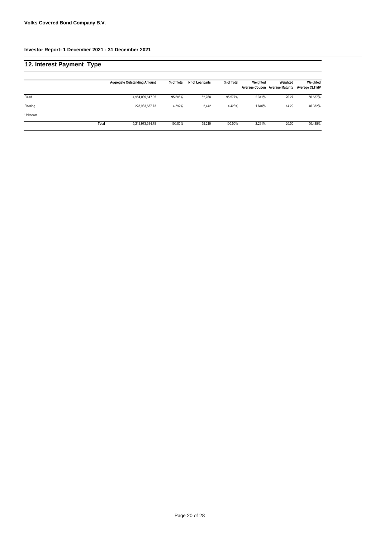| 12. Interest Payment Type |       |                                     |            |                 |            |          |                                             |                                   |
|---------------------------|-------|-------------------------------------|------------|-----------------|------------|----------|---------------------------------------------|-----------------------------------|
|                           |       | <b>Aggregate Outstanding Amount</b> | % of Total | Nr of Loanparts | % of Total | Weighted | Weighted<br>Average Coupon Average Maturity | Weighted<br><b>Average CLTIMV</b> |
| Fixed                     |       | 4,984,039,647.05                    | 95.608%    | 52.768          | 95.577%    | 2.311%   | 20.27                                       | 50.687%                           |
| Floating                  |       | 228.933.687.73                      | 4.392%     | 2,442           | 4.423%     | 1.846%   | 14.29                                       | 46.082%                           |
| Unknown                   |       |                                     |            |                 |            |          |                                             |                                   |
|                           | Total | 5,212,973,334.78                    | 100.00%    | 55.210          | 100.00%    | 2.291%   | 20.00                                       | 50.485%                           |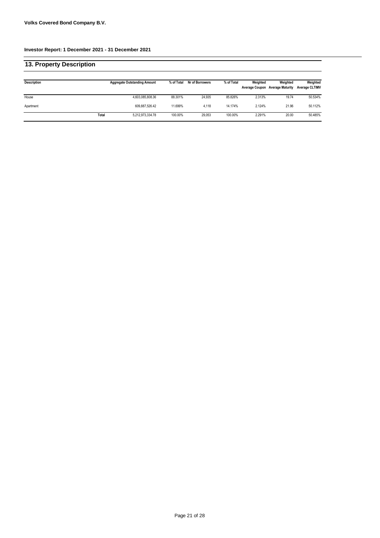| 13. Property Description |       |                                     |            |                 |            |                                   |                                     |                                   |
|--------------------------|-------|-------------------------------------|------------|-----------------|------------|-----------------------------------|-------------------------------------|-----------------------------------|
| Description              |       | <b>Aggregate Outstanding Amount</b> | % of Total | Nr of Borrowers | % of Total | Weighted<br><b>Average Coupon</b> | Weighted<br><b>Average Maturity</b> | Weighted<br><b>Average CLTIMV</b> |
| House                    |       | 4,603,085,808.36                    | 88.301%    | 24.935          | 85.826%    | 2.313%                            | 19.74                               | 50.534%                           |
| Apartment                |       | 609,887,526.42                      | 11.699%    | 4,118           | 14.174%    | 2.124%                            | 21.96                               | 50.112%                           |
|                          | Total | 5,212,973,334.78                    | 100.00%    | 29.053          | 100.00%    | 2.291%                            | 20.00                               | 50.485%                           |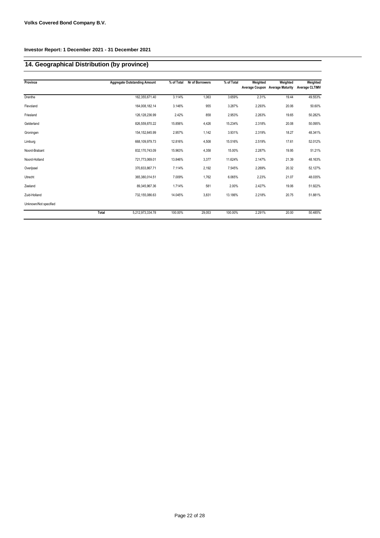# **14. Geographical Distribution (by province)**

| Province              | <b>Aggregate Outstanding Amount</b> | % of Total | Nr of Borrowers | % of Total | Weighted | Weighted<br>Average Coupon Average Maturity | Weighted<br><b>Average CLTIMV</b> |
|-----------------------|-------------------------------------|------------|-----------------|------------|----------|---------------------------------------------|-----------------------------------|
|                       |                                     |            |                 |            |          |                                             |                                   |
| Drenthe               | 162,355,671.40                      | 3.114%     | 1,063           | 3.659%     | 2.31%    | 19.44                                       | 49.553%                           |
| Flevoland             | 164,008,182.14                      | 3.146%     | 955             | 3.287%     | 2.293%   | 20.06                                       | 50.60%                            |
| Friesland             | 126, 128, 236. 99                   | 2.42%      | 858             | 2.953%     | 2.263%   | 19.65                                       | 50.282%                           |
| Gelderland            | 826,559,870.22                      | 15.856%    | 4,426           | 15.234%    | 2.318%   | 20.08                                       | 50.095%                           |
| Groningen             | 154, 152, 645.99                    | 2.957%     | 1,142           | 3.931%     | 2.319%   | 18.27                                       | 48.341%                           |
| Limburg               | 668,109,979.73                      | 12.816%    | 4,508           | 15.516%    | 2.519%   | 17.61                                       | 52.012%                           |
| Noord-Brabant         | 832,170,743.09                      | 15.963%    | 4,358           | 15.00%     | 2.287%   | 19.95                                       | 51.21%                            |
| Noord-Holland         | 721,773,069.01                      | 13.846%    | 3,377           | 11.624%    | 2.147%   | 21.39                                       | 48.163%                           |
| Overijssel            | 370,833,867.71                      | 7.114%     | 2,192           | 7.545%     | 2.269%   | 20.32                                       | 52.127%                           |
| Utrecht               | 365,380,014.51                      | 7.009%     | 1,762           | 6.065%     | 2.23%    | 21.07                                       | 48.035%                           |
| Zeeland               | 89,345,967.36                       | 1.714%     | 581             | 2.00%      | 2.427%   | 19.06                                       | 51.922%                           |
| Zuid-Holland          | 732,155,086.63                      | 14.045%    | 3,831           | 13.186%    | 2.218%   | 20.75                                       | 51.881%                           |
| Unknown/Not specified |                                     |            |                 |            |          |                                             |                                   |
|                       | Total<br>5,212,973,334.78           | 100.00%    | 29,053          | 100.00%    | 2.291%   | 20.00                                       | 50.485%                           |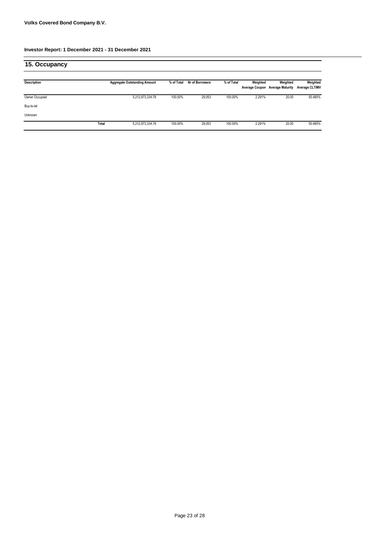| 15. Occupancy  |       |                                     |            |                 |            |          |                                             |                                   |
|----------------|-------|-------------------------------------|------------|-----------------|------------|----------|---------------------------------------------|-----------------------------------|
| Description    |       | <b>Aggregate Outstanding Amount</b> | % of Total | Nr of Borrowers | % of Total | Weighted | Weighted<br>Average Coupon Average Maturity | Weighted<br><b>Average CLTIMV</b> |
| Owner Occupied |       | 5,212,973,334.78                    | 100.00%    | 29,053          | 100.00%    | 2.291%   | 20.00                                       | 50.485%                           |
| Buy-to-let     |       |                                     |            |                 |            |          |                                             |                                   |
| Unknown        |       |                                     |            |                 |            |          |                                             |                                   |
|                | Total | 5,212,973,334.78                    | 100.00%    | 29,053          | 100.00%    | 2.291%   | 20.00                                       | 50.485%                           |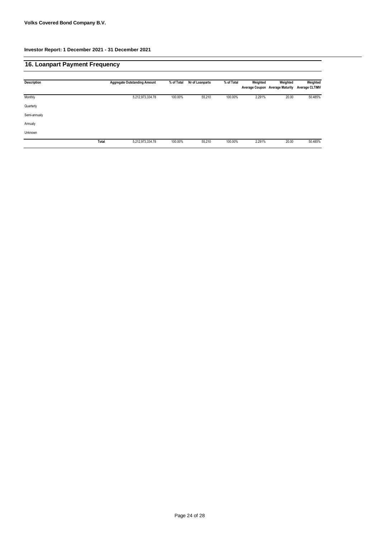# **16. Loanpart Payment Frequency**

| Description  |       | <b>Aggregate Outstanding Amount</b> | % of Total | Nr of Loanparts | % of Total | Weighted | Weighted<br>Average Coupon Average Maturity | Weighted<br><b>Average CLTIMV</b> |
|--------------|-------|-------------------------------------|------------|-----------------|------------|----------|---------------------------------------------|-----------------------------------|
| Monthly      |       | 5,212,973,334.78                    | 100.00%    | 55,210          | 100.00%    | 2.291%   | 20.00                                       | 50.485%                           |
| Quarterly    |       |                                     |            |                 |            |          |                                             |                                   |
| Semi-annualy |       |                                     |            |                 |            |          |                                             |                                   |
| Annualy      |       |                                     |            |                 |            |          |                                             |                                   |
| Unknown      |       |                                     |            |                 |            |          |                                             |                                   |
|              | Total | 5,212,973,334.78                    | 100.00%    | 55,210          | 100.00%    | 2.291%   | 20.00                                       | 50.485%                           |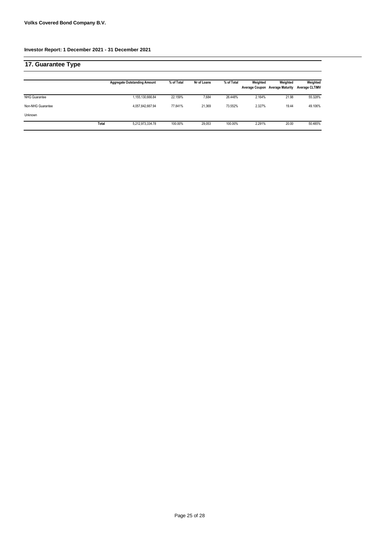| 17. Guarantee Type   |       |                                     |            |             |            |                                   |                                     |                                   |
|----------------------|-------|-------------------------------------|------------|-------------|------------|-----------------------------------|-------------------------------------|-----------------------------------|
|                      |       | <b>Aggregate Outstanding Amount</b> | % of Total | Nr of Loans | % of Total | Weighted<br><b>Average Coupon</b> | Weighted<br><b>Average Maturity</b> | Weighted<br><b>Average CLTIMV</b> |
| <b>NHG Guarantee</b> |       | 1,155,130,666.84                    | 22.159%    | 7.684       | 26.448%    | 2.164%                            | 21.98                               | 55.328%                           |
| Non-NHG Guarantee    |       | 4,057,842,667.94                    | 77.841%    | 21.369      | 73.552%    | 2.327%                            | 19.44                               | 49.106%                           |
| Unknown              |       |                                     |            |             |            |                                   |                                     |                                   |
|                      | Total | 5,212,973,334.78                    | 100.00%    | 29.053      | 100.00%    | 2.291%                            | 20.00                               | 50.485%                           |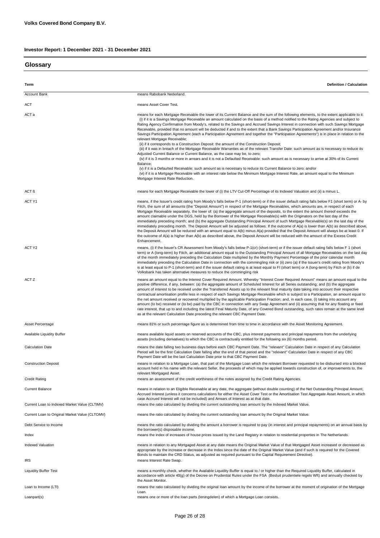## **Glossary**

| Term                                           | <b>Definition / Calculation</b>                                                                                                                                                                                                                                                                                                                                                                                                                                                                                                                                                                                                                                                                                                                                                                                                                                                                                                                                                                                                                                                                                                                                                                                                                                                                                                                                                                                                                                                                                                           |
|------------------------------------------------|-------------------------------------------------------------------------------------------------------------------------------------------------------------------------------------------------------------------------------------------------------------------------------------------------------------------------------------------------------------------------------------------------------------------------------------------------------------------------------------------------------------------------------------------------------------------------------------------------------------------------------------------------------------------------------------------------------------------------------------------------------------------------------------------------------------------------------------------------------------------------------------------------------------------------------------------------------------------------------------------------------------------------------------------------------------------------------------------------------------------------------------------------------------------------------------------------------------------------------------------------------------------------------------------------------------------------------------------------------------------------------------------------------------------------------------------------------------------------------------------------------------------------------------------|
| <b>Account Bank</b>                            | means Rabobank Nederland.                                                                                                                                                                                                                                                                                                                                                                                                                                                                                                                                                                                                                                                                                                                                                                                                                                                                                                                                                                                                                                                                                                                                                                                                                                                                                                                                                                                                                                                                                                                 |
|                                                |                                                                                                                                                                                                                                                                                                                                                                                                                                                                                                                                                                                                                                                                                                                                                                                                                                                                                                                                                                                                                                                                                                                                                                                                                                                                                                                                                                                                                                                                                                                                           |
| ACT                                            | means Asset Cover Test.                                                                                                                                                                                                                                                                                                                                                                                                                                                                                                                                                                                                                                                                                                                                                                                                                                                                                                                                                                                                                                                                                                                                                                                                                                                                                                                                                                                                                                                                                                                   |
| ACT a                                          | means for each Mortgage Receivable the lower of its Current Balance and the sum of the following elements, to the extent applicable to it:<br>(i) if it is a Savings Mortgage Receivable an amount calculated on the basis of a method notified to the Rating Agencies and subject to<br>Rating Agency Confirmation from Moody's, related to the Savings and Accrued Savings Interest in connection with such Savings Mortgage<br>Receivable, provided that no amount will be deducted if and to the extent that a Bank Savings Participation Agreement and/or Insurance<br>Savings Participation Agreement (each a Participation Agreement and together the "Participation Agreements") is in place in relation to the<br>relevant Mortgage Receivable;<br>(ii) if it corresponds to a Construction Deposit: the amount of the Construction Deposit;<br>(iii) if it was in breach of the Mortgage Receivable Warranties as of the relevant Transfer Date: such amount as is necessary to reduce its<br>Adjusted Current Balance or Current Balance, as the case may be, to zero;<br>(iv) if it is 3 months or more in arrears and it is not a Defaulted Receivable: such amount as is necessary to arrive at 30% of its Current<br>Balance;<br>(v) if it is a Defaulted Receivable: such amount as is necessary to reduce its Current Balance to zero; and/or<br>(vi) if it is a Mortgage Receivable with an interest rate below the Minimum Mortgage Interest Rate, an amount equal to the Minimum<br>Mortgage Interest Rate Reduction. |
| ACT <sub>B</sub>                               | means for each Mortgage Receivable the lower of (i) the LTV Cut-Off Percentage of its Indexed Valuation and (ii) a minus L.                                                                                                                                                                                                                                                                                                                                                                                                                                                                                                                                                                                                                                                                                                                                                                                                                                                                                                                                                                                                                                                                                                                                                                                                                                                                                                                                                                                                               |
| ACT Y1                                         | means, if the Issuer's credit rating from Moody's falls below P-1 (short-term) or if the issuer default rating falls below F1 (short term) or A- by<br>Fitch, the sum of all amounts (the "Deposit Amount") in respect of the Mortgage Receivables, which amounts are, in respect of each<br>Mortgage Receivable separately, the lower of: (a) the aggregate amount of the deposits, to the extent the amount thereof exceeds the<br>amount claimable under the DGS, held by the Borrower of the Mortgage Receivable(s) with the Originators on the last day of the<br>immediately preceding month; and (b) the aggregate Outstanding Principal Amount of such Mortgage Receivable(s) on the last day of the<br>immediately preceding month. The Deposit Amount will be adjusted as follows. If the outcome of A(a) is lower than A(b) as described above,<br>the Deposit Amount will be reduced with an amount equal to A(b) minus A(a) provided that the Deposit Amount will always be at least 0. If<br>the outcome of A(a) is higher than A(b) as described above, the Deposit Amount will be reduced with the amount of the Excess Credit<br>Enhancement.                                                                                                                                                                                                                                                                                                                                                                            |
| ACT Y2                                         | means, (i) if the Issuer's CR Assessment from Moody's falls below P-1(cr) (short-term) or if the issuer default rating falls below F 1 (short<br>term) or A (long-term) by Fitch, an additional amount equal to the Outstanding Principal Amount of all Mortgage Receivables on the last day<br>of the month immediately preceding the Calculation Date multiplied by the Monthly Payment Percentage of the prior calendar month<br>immediately preceding the Calculation Date in connection with the commingling risk or (ii) zero (a) if the Issuer's credit rating from Moody's<br>is at least equal to P-1 (short-term) and if the issuer default rating is at least equal to FI (short term) or A (long-term) by Fitch or (b) if de<br>Volksbank has taken alternative measures to reduce the commingling risk                                                                                                                                                                                                                                                                                                                                                                                                                                                                                                                                                                                                                                                                                                                       |
| ACT Z                                          | means an amount equal to the Interest Cover Required Amount. Whereby "Interest Cover Required Amount" means an amount equal to the<br>positive difference, if any, between: (a) the aggregate amount of Scheduled Interest for all Series outstanding; and (b) the aggregate<br>amount of interest to be received under the Transferred Assets up to the relevant final maturity date taking into account their respective<br>contractual amortisation profile less in respect of each Savings Mortgage Receivable which is subject to a Participation, an amount equal to<br>the net amount received or recovered multiplied by the applicable Participation Fraction; and, in each case, (i) taking into account any<br>amount (to be) received or (to be) paid by the CBC in connection with any Swap Agreement and (ii) assuming that for any floating or fixed<br>rate interest, that up to and including the latest Final Maturity Date, of any Covered Bond outstanding, such rates remain at the same level<br>as at the relevant Calculation Date preceding the relevant CBC Payment Date.                                                                                                                                                                                                                                                                                                                                                                                                                                       |
| Asset Percentage                               | means 81% or such percentage figure as is determined from time to time in accordance with the Asset Monitoring Agreement.                                                                                                                                                                                                                                                                                                                                                                                                                                                                                                                                                                                                                                                                                                                                                                                                                                                                                                                                                                                                                                                                                                                                                                                                                                                                                                                                                                                                                 |
| Available Liquidity Buffer                     | means available liquid assets on reserved accounts of the CBC, plus interest payments and principal repayments from the underlying<br>assets (including derivatives) to which the CBC is contractually entitled for the following six (6) months period.                                                                                                                                                                                                                                                                                                                                                                                                                                                                                                                                                                                                                                                                                                                                                                                                                                                                                                                                                                                                                                                                                                                                                                                                                                                                                  |
| <b>Calculation Date</b>                        | means the date falling two business days before each CBC Payment Date. The "relevant" Calculation Date in respect of any Calculation<br>Period will be the first Calculation Date falling after the end of that period and the "relevant" Calculation Date in respect of any CBC<br>Payment Date will be the last Calculation Date prior to that CBC Payment Date.                                                                                                                                                                                                                                                                                                                                                                                                                                                                                                                                                                                                                                                                                                                                                                                                                                                                                                                                                                                                                                                                                                                                                                        |
| <b>Construction Deposit</b>                    | means in relation to a Mortgage Loan, that part of the Mortgage Loan which the relevant Borrower requested to be disbursed into a blocked<br>account held in his name with the relevant Seller, the proceeds of which may be applied towards construction of, or improvements to, the<br>relevant Mortgaged Asset.                                                                                                                                                                                                                                                                                                                                                                                                                                                                                                                                                                                                                                                                                                                                                                                                                                                                                                                                                                                                                                                                                                                                                                                                                        |
| <b>Credit Rating</b>                           | means an assessment of the credit worthiness of the notes assigned by the Credit Rating Agencies.                                                                                                                                                                                                                                                                                                                                                                                                                                                                                                                                                                                                                                                                                                                                                                                                                                                                                                                                                                                                                                                                                                                                                                                                                                                                                                                                                                                                                                         |
| <b>Current Balance</b>                         | means in relation to an Eligible Receivable at any date, the aggregate (without double counting) of the Net Outstanding Principal Amount,<br>Accrued Interest (unless it concerns calculations for either the Asset Cover Test or the Amortisation Test Aggregate Asset Amount, in which<br>case Accrued Interest will not be included) and Arrears of Interest as at that date.                                                                                                                                                                                                                                                                                                                                                                                                                                                                                                                                                                                                                                                                                                                                                                                                                                                                                                                                                                                                                                                                                                                                                          |
| Current Loan to Indexed Market Value (CLTIMV)  | means the ratio calculated by dividing the current outstanding loan amount by the Indexed Market Value.                                                                                                                                                                                                                                                                                                                                                                                                                                                                                                                                                                                                                                                                                                                                                                                                                                                                                                                                                                                                                                                                                                                                                                                                                                                                                                                                                                                                                                   |
| Current Loan to Original Market Value (CLTOMV) | means the ratio calculated by dividing the current outstanding loan amount by the Original Market Value.                                                                                                                                                                                                                                                                                                                                                                                                                                                                                                                                                                                                                                                                                                                                                                                                                                                                                                                                                                                                                                                                                                                                                                                                                                                                                                                                                                                                                                  |
| Debt Service to Income                         | means the ratio calculated by dividing the amount a borrower is required to pay (in interest and principal repayments) on an annual basis by<br>the borrower(s) disposable income.                                                                                                                                                                                                                                                                                                                                                                                                                                                                                                                                                                                                                                                                                                                                                                                                                                                                                                                                                                                                                                                                                                                                                                                                                                                                                                                                                        |
| Index                                          | means the index of increases of house prices issued by the Land Registry in relation to residential properties in The Netherlands.                                                                                                                                                                                                                                                                                                                                                                                                                                                                                                                                                                                                                                                                                                                                                                                                                                                                                                                                                                                                                                                                                                                                                                                                                                                                                                                                                                                                        |
| <b>Indexed Valuation</b>                       | means in relation to any Mortgaged Asset at any date means the Original Market Value of that Mortgaged Asset increased or decreased as<br>appropriate by the increase or decrease in the Index since the date of the Original Market Value (and if such is required for the Covered<br>Bonds to maintain the CRD Status, as adjusted as required pursuant to the Capital Requirement Directive).                                                                                                                                                                                                                                                                                                                                                                                                                                                                                                                                                                                                                                                                                                                                                                                                                                                                                                                                                                                                                                                                                                                                          |
| IRS                                            | means Interest Rate Swap.                                                                                                                                                                                                                                                                                                                                                                                                                                                                                                                                                                                                                                                                                                                                                                                                                                                                                                                                                                                                                                                                                                                                                                                                                                                                                                                                                                                                                                                                                                                 |
| <b>Liquidity Buffer Test</b>                   | means a monthly check, whether the Available Liquidity Buffer is equal to / or higher than the Required Liquidity Buffer, calculated in<br>accordance with article 40(g) of the Decree on Prudential Rules under the FSA (Besluit prudentiele regels Wft) and annually checked by<br>the Asset Monitor.                                                                                                                                                                                                                                                                                                                                                                                                                                                                                                                                                                                                                                                                                                                                                                                                                                                                                                                                                                                                                                                                                                                                                                                                                                   |
| Loan to Income (LTI)                           | means the ratio calculated by dividing the original loan amount by the income of the borrower at the moment of origination of the Mortgage<br>Loan.                                                                                                                                                                                                                                                                                                                                                                                                                                                                                                                                                                                                                                                                                                                                                                                                                                                                                                                                                                                                                                                                                                                                                                                                                                                                                                                                                                                       |
| Loanpart(s)                                    | means one or more of the loan parts (leningdelen) of which a Mortgage Loan consists.                                                                                                                                                                                                                                                                                                                                                                                                                                                                                                                                                                                                                                                                                                                                                                                                                                                                                                                                                                                                                                                                                                                                                                                                                                                                                                                                                                                                                                                      |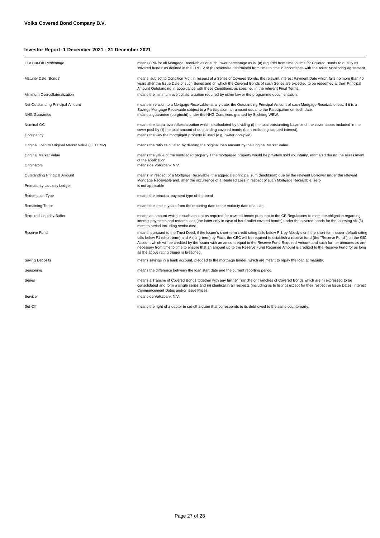| LTV Cut-Off Percentage                          | means 80% for all Mortgage Receivables or such lower percentage as is (a) required from time to time for Covered Bonds to qualify as<br>'covered bonds' as defined in the CRD IV or (b) otherwise determined from time to time in accordance with the Asset Monitoring Agreement.                                                                                                                                                                                                                                                                                                                                                 |
|-------------------------------------------------|-----------------------------------------------------------------------------------------------------------------------------------------------------------------------------------------------------------------------------------------------------------------------------------------------------------------------------------------------------------------------------------------------------------------------------------------------------------------------------------------------------------------------------------------------------------------------------------------------------------------------------------|
| Maturity Date (Bonds)                           | means, subject to Condition 7(c), in respect of a Series of Covered Bonds, the relevant Interest Payment Date which falls no more than 40<br>years after the Issue Date of such Series and on which the Covered Bonds of such Series are expected to be redeemed at their Principal<br>Amount Outstanding in accordance with these Conditions, as specified in the relevant Final Terms.                                                                                                                                                                                                                                          |
| Minimum Overcollateralization                   | means the minimum overcollateralization required by either law or the programme documentation.                                                                                                                                                                                                                                                                                                                                                                                                                                                                                                                                    |
| Net Outstanding Principal Amount                | means in relation to a Mortgage Receivable, at any date, the Outstanding Principal Amount of such Mortgage Receivable less, if it is a<br>Savings Mortgage Receivable subject to a Participation, an amount equal to the Participation on such date.                                                                                                                                                                                                                                                                                                                                                                              |
| <b>NHG Guarantee</b>                            | means a guarantee (borgtocht) under the NHG Conditions granted by Stichting WEW.                                                                                                                                                                                                                                                                                                                                                                                                                                                                                                                                                  |
| Nominal OC                                      | means the actual overcollateralization which is calculated by dividing (i) the total outstanding balance of the cover assets included in the<br>cover pool by (ii) the total amount of outstanding covered bonds (both excluding accrued interest).                                                                                                                                                                                                                                                                                                                                                                               |
| Occupancy                                       | means the way the mortgaged property is used (e.g. owner occupied).                                                                                                                                                                                                                                                                                                                                                                                                                                                                                                                                                               |
| Original Loan to Original Market Value (OLTOMV) | means the ratio calculated by dividing the original loan amount by the Original Market Value.                                                                                                                                                                                                                                                                                                                                                                                                                                                                                                                                     |
| Original Market Value                           | means the value of the mortgaged property if the mortgaged property would be privately sold voluntarily, estimated during the assessment<br>of the application.                                                                                                                                                                                                                                                                                                                                                                                                                                                                   |
| Originators                                     | means de Volksbank N.V.                                                                                                                                                                                                                                                                                                                                                                                                                                                                                                                                                                                                           |
| Outstanding Principal Amount                    | means, in respect of a Mortgage Receivable, the aggregate principal sum (hoofdsom) due by the relevant Borrower under the relevant<br>Mortgage Receivable and, after the occurrence of a Realised Loss in respect of such Mortgage Receivable, zero.                                                                                                                                                                                                                                                                                                                                                                              |
| Prematurity Liquidity Ledger                    | is not applicable                                                                                                                                                                                                                                                                                                                                                                                                                                                                                                                                                                                                                 |
| <b>Redemption Type</b>                          | means the principal payment type of the bond                                                                                                                                                                                                                                                                                                                                                                                                                                                                                                                                                                                      |
| Remaining Tenor                                 | means the time in years from the reporting date to the maturity date of a loan.                                                                                                                                                                                                                                                                                                                                                                                                                                                                                                                                                   |
| <b>Required Liquidity Buffer</b>                | means an amount which is such amount as required for covered bonds pursuant to the CB Regulations to meet the obligation regarding<br>interest payments and redemptions (the latter only in case of hard bullet covered bonds) under the covered bonds for the following six (6)<br>months period including senior cost.                                                                                                                                                                                                                                                                                                          |
| Reserve Fund                                    | means, pursuant to the Trust Deed, if the Issuer's short-term credit rating falls below P-1 by Moody's or if the short-term issuer default rating<br>falls below F1 (short-term) and A (long-term) by Fitch, the CBC will be required to establish a reserve fund (the "Reserve Fund") on the GIC<br>Account which will be credited by the Issuer with an amount equal to the Reserve Fund Required Amount and such further amounts as are<br>necessary from time to time to ensure that an amount up to the Reserve Fund Required Amount is credited to the Reserve Fund for as long<br>as the above rating trigger is breached. |
| Saving Deposits                                 | means savings in a bank account, pledged to the mortgage lender, which are meant to repay the loan at maturity.                                                                                                                                                                                                                                                                                                                                                                                                                                                                                                                   |
| Seasoning                                       | means the difference between the loan start date and the current reporting period.                                                                                                                                                                                                                                                                                                                                                                                                                                                                                                                                                |
| Series                                          | means a Tranche of Covered Bonds together with any further Tranche or Tranches of Covered Bonds which are (i) expressed to be<br>consolidated and form a single series and (ii) identical in all respects (including as to listing) except for their respective Issue Dates, Interest<br>Commencement Dates and/or Issue Prices.                                                                                                                                                                                                                                                                                                  |
| Servicer                                        | means de Volksbank N.V.                                                                                                                                                                                                                                                                                                                                                                                                                                                                                                                                                                                                           |
| Set-Off                                         | means the right of a debtor to set-off a claim that corresponds to its debt owed to the same counterparty.                                                                                                                                                                                                                                                                                                                                                                                                                                                                                                                        |